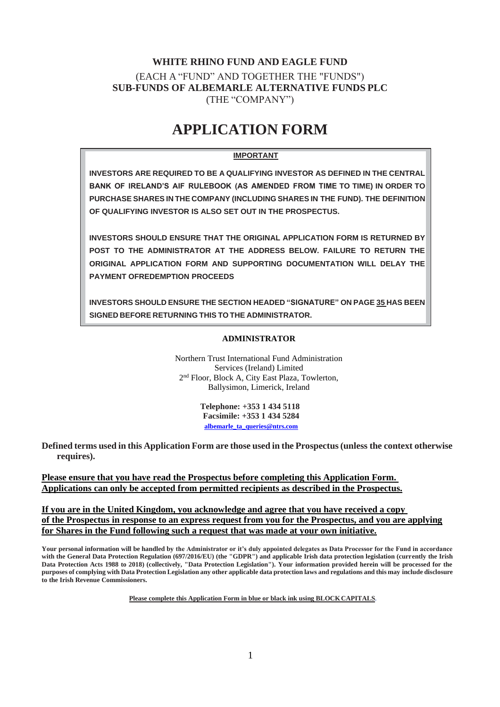# **WHITE RHINO FUND AND EAGLE FUND** (EACH A "FUND" AND TOGETHER THE "FUNDS") **SUB-FUNDS OF ALBEMARLE ALTERNATIVE FUNDS PLC** (THE "COMPANY")

# **APPLICATION FORM**

# **IMPORTANT**

**INVESTORS ARE REQUIRED TO BE A QUALIFYING INVESTOR AS DEFINED IN THE CENTRAL BANK OF IRELAND'S AIF RULEBOOK (AS AMENDED FROM TIME TO TIME) IN ORDER TO PURCHASE SHARES IN THE COMPANY (INCLUDING SHARES IN THE FUND). THE DEFINITION OF QUALIFYING INVESTOR IS ALSO SET OUT IN THE PROSPECTUS.**

**INVESTORS SHOULD ENSURE THAT THE ORIGINAL APPLICATION FORM IS RETURNED BY POST TO THE ADMINISTRATOR AT THE ADDRESS BELOW. FAILURE TO RETURN THE ORIGINAL APPLICATION FORM AND SUPPORTING DOCUMENTATION WILL DELAY THE PAYMENT OFREDEMPTION PROCEEDS**

**INVESTORS SHOULD ENSURE THE SECTION HEADED "SIGNATURE" ON PAGE 35 HAS BEEN SIGNED BEFORE RETURNING THIS TO THE ADMINISTRATOR.**

# **Northern Trust International Fund Administration Services (Ireland) Limited ADMINISTRATOR**

Northern Trust International Fund Administration Services (Ireland) Limited 2 nd Floor, Block A, City East Plaza, Towlerton, Ballysimon, Limerick, Ireland

> **Telephone: +353 1 434 5118 Facsimile: +353 1 434 5284 [albemarle\\_ta\\_queries@ntrs.com](mailto:albemarle_ta_queries@ntrs.com)**

**Defined terms used in this Application Form are those used in the Prospectus(unless the context otherwise requires).**

**Please ensure that you have read the Prospectus before completing this Application Form. Applications can only be accepted from permitted recipients as described in the Prospectus.**

**If you are in the United Kingdom, you acknowledge and agree that you have received a copy of the Prospectus in response to an express request from you for the Prospectus, and you are applying for Shares in the Fund following such a request that was made at your own initiative.**

**Your personal information will be handled by the Administrator or it's duly appointed delegates as Data Processor for the Fund in accordance**  with the General Data Protection Regulation (697/2016/EU) (the "GDPR") and applicable Irish data protection legislation (currently the Irish **Data Protection Acts 1988 to 2018) (collectively, "Data Protection Legislation"). Your information provided herein will be processed for the purposes of complying with Data Protection Legislation any other applicable data protection laws and regulations and this may include disclosure to the Irish Revenue Commissioners.**

**Please complete this Application Form in blue or black ink using BLOCKCAPITALS.**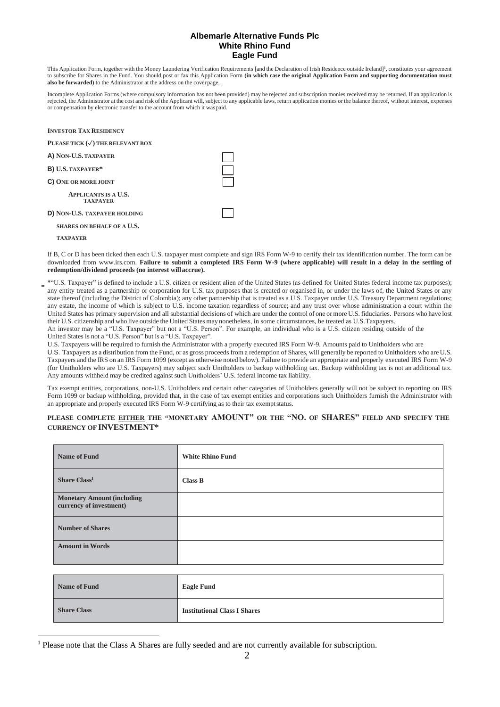This Application Form, together with the Money Laundering Verification Requirements [and the Declaration of Irish Residence outside Ireland]<sup>1</sup>, constitutes your agreement to subscribe for Shares in the Fund. You should post or fax this Application Form **(in which case the original Application Form and supporting documentation must also be forwarded)** to the Administrator at the address on the coverpage.

Incomplete Application Forms (where compulsory information has not been provided) may be rejected and subscription monies received may be returned. If an application is rejected, the Administrator at the cost and risk of the Applicant will, subject to any applicable laws, return application monies or the balance thereof, without interest, expenses or compensation by electronic transfer to the account from which it waspaid.

| <b>INVESTOR TAX RESIDENCY</b>                  |  |
|------------------------------------------------|--|
| PLEASE TICK $(\checkmark)$ THE RELEVANT BOX    |  |
| A) NON-U.S. TAXPAYER                           |  |
| B) U.S. TAXPAYER*                              |  |
| C) ONE OR MORE JOINT                           |  |
| <b>APPLICANTS IS A U.S.</b><br><b>TAXPAYER</b> |  |
| D) NON-U.S. TAXPAYER HOLDING                   |  |
| <b>SHARES ON BEHALF OF A U.S.</b>              |  |
| <b>TAXPAYER</b>                                |  |

If B, C or D has been ticked then each U.S. taxpayer must complete and sign IRS Form W-9 to certify their tax identification number. The form can be downloaded from [www.irs.com.](http://www.irs.com/) **Failure to submit a completed IRS Form W-9 (where applicable) will result in a delay in the settling of redemption/dividend proceeds (no interest willaccrue).**

\*"U.S. Taxpayer" is defined to include a U.S. citizen or resident alien of the United States (as defined for United States federal income tax purposes); any entity treated as a partnership or corporation for U.S. tax purposes that is created or organised in, or under the laws of, the United States or any state thereof (including the District of Colombia); any other partnership that is treated as a U.S. Taxpayer under U.S. Treasury Department regulations; any estate, the income of which is subject to U.S. income taxation regardless of source; and any trust over whose administration a court within the United States has primary supervision and all substantial decisions of which are under the control of one or more U.S. fiduciaries. Persons who have lost their U.S. citizenship and who live outside the United States may nonetheless, in some circumstances, be treated as U.S.Taxpayers.

An investor may be a "U.S. Taxpayer" but not a "U.S. Person". For example, an individual who is a U.S. citizen residing outside of the United States is not a "U.S. Person" but is a "U.S. Taxpayer".

U.S. Taxpayers will be required to furnish the Administrator with a properly executed IRS Form W-9. Amounts paid to Unitholders who are

U.S. Taxpayers as a distribution from the Fund, or as gross proceeds from a redemption of Shares, will generally be reported to Unitholders who are U.S. Taxpayers and the IRS on an IRS Form 1099 (except as otherwise noted below). Failure to provide an appropriate and properly executed IRS Form W-9 (for Unitholders who are U.S. Taxpayers) may subject such Unitholders to backup withholding tax. Backup withholding tax is not an additional tax. Any amounts withheld may be credited against such Unitholders' U.S. federal income tax liability.

Tax exempt entities, corporations, non-U.S. Unitholders and certain other categories of Unitholders generally will not be subject to reporting on IRS Form 1099 or backup withholding, provided that, in the case of tax exempt entities and corporations such Unitholders furnish the Administrator with an appropriate and properly executed IRS Form W-9 certifying as to their tax exemptstatus.

### **PLEASE COMPLETE EITHER THE "MONETARY AMOUNT" OR THE "NO. OF SHARES" FIELD AND SPECIFY THE CURRENCY OF INVESTMENT\***

| <b>Name of Fund</b>                                          | <b>White Rhino Fund</b>             |
|--------------------------------------------------------------|-------------------------------------|
| Share $Class1$                                               | <b>Class B</b>                      |
| <b>Monetary Amount (including</b><br>currency of investment) |                                     |
| <b>Number of Shares</b>                                      |                                     |
| <b>Amount in Words</b>                                       |                                     |
|                                                              |                                     |
| <b>Name of Fund</b>                                          | <b>Eagle Fund</b>                   |
| <b>Share Class</b>                                           | <b>Institutional Class I Shares</b> |

<sup>&</sup>lt;sup>1</sup> Please note that the Class A Shares are fully seeded and are not currently available for subscription.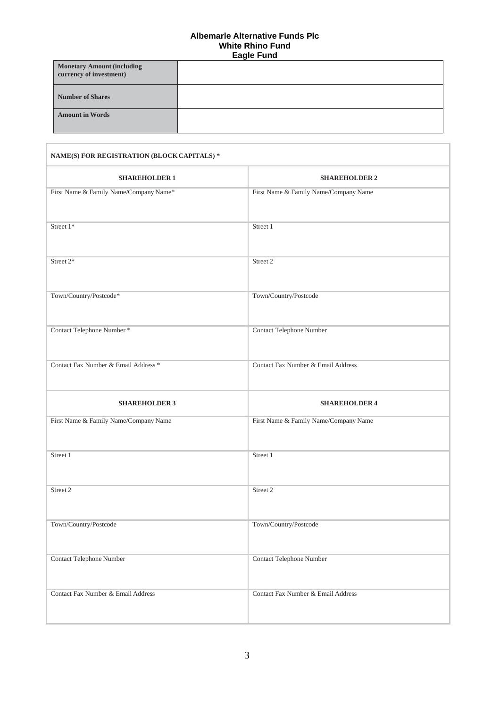| <b>Monetary Amount (including</b><br>currency of investment) |  |
|--------------------------------------------------------------|--|
| <b>Number of Shares</b>                                      |  |
| <b>Amount in Words</b>                                       |  |

| NAME(S) FOR REGISTRATION (BLOCK CAPITALS) * |                                       |  |  |
|---------------------------------------------|---------------------------------------|--|--|
| <b>SHAREHOLDER 1</b>                        | <b>SHAREHOLDER 2</b>                  |  |  |
| First Name & Family Name/Company Name*      | First Name & Family Name/Company Name |  |  |
| Street $1*$                                 | Street 1                              |  |  |
| Street 2*                                   | Street 2                              |  |  |
| Town/Country/Postcode*                      | Town/Country/Postcode                 |  |  |
| Contact Telephone Number*                   | Contact Telephone Number              |  |  |
| Contact Fax Number & Email Address *        | Contact Fax Number & Email Address    |  |  |
| <b>SHAREHOLDER 3</b>                        | <b>SHAREHOLDER 4</b>                  |  |  |
| First Name & Family Name/Company Name       | First Name & Family Name/Company Name |  |  |
| Street 1                                    | Street 1                              |  |  |
| Street 2                                    | Street 2                              |  |  |
| Town/Country/Postcode                       | Town/Country/Postcode                 |  |  |
| <b>Contact Telephone Number</b>             | Contact Telephone Number              |  |  |
| Contact Fax Number & Email Address          | Contact Fax Number & Email Address    |  |  |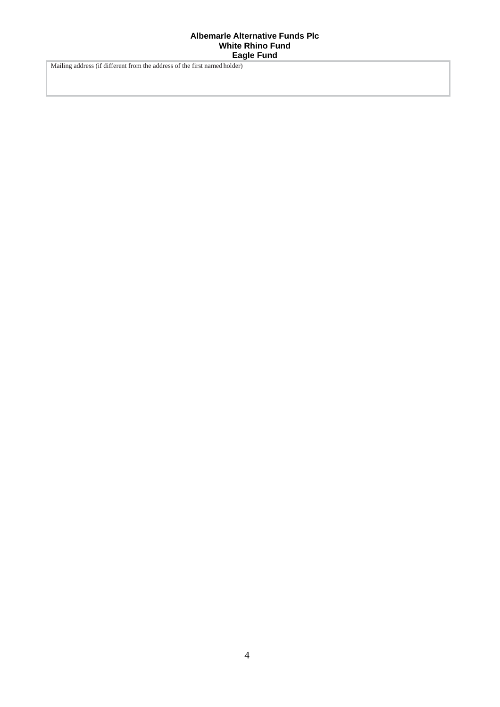Mailing address (if different from the address of the first named holder)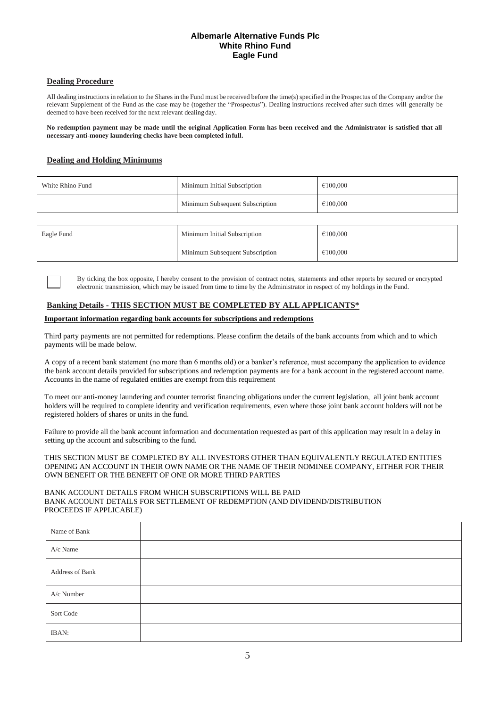# **Dealing Procedure**

All dealing instructions in relation to the Shares in the Fund must be received before the time(s) specified in the Prospectus of the Company and/or the relevant Supplement of the Fund as the case may be (together the "Prospectus"). Dealing instructions received after such times will generally be deemed to have been received for the next relevant dealing day.

**No redemption payment may be made until the original Application Form has been received and the Administrator is satisfied that all necessary anti-money laundering checks have been completed infull.**

# **Dealing and Holding Minimums**

| White Rhino Fund | Minimum Initial Subscription    | €100,000 |
|------------------|---------------------------------|----------|
|                  | Minimum Subsequent Subscription | €100,000 |
|                  |                                 |          |
| Eagle Fund       | Minimum Initial Subscription    | €100,000 |

By ticking the box opposite, I hereby consent to the provision of contract notes, statements and other reports by secured or encrypted electronic transmission, which may be issued from time to time by the Administrator in respect of my holdings in the Fund.

Minimum Subsequent Subscription **€100,000** 

### **Banking Details - THIS SECTION MUST BE COMPLETED BY ALL APPLICANTS\***

### **Important information regarding bank accounts for subscriptions and redemptions**

Third party payments are not permitted for redemptions. Please confirm the details of the bank accounts from which and to which payments will be made below.

A copy of a recent bank statement (no more than 6 months old) or a banker's reference, must accompany the application to evidence the bank account details provided for subscriptions and redemption payments are for a bank account in the registered account name. Accounts in the name of regulated entities are exempt from this requirement

To meet our anti-money laundering and counter terrorist financing obligations under the current legislation, all joint bank account holders will be required to complete identity and verification requirements, even where those joint bank account holders will not be registered holders of shares or units in the fund.

Failure to provide all the bank account information and documentation requested as part of this application may result in a delay in setting up the account and subscribing to the fund.

THIS SECTION MUST BE COMPLETED BY ALL INVESTORS OTHER THAN EQUIVALENTLY REGULATED ENTITIES OPENING AN ACCOUNT IN THEIR OWN NAME OR THE NAME OF THEIR NOMINEE COMPANY, EITHER FOR THEIR OWN BENEFIT OR THE BENEFIT OF ONE OR MORE THIRD PARTIES

### BANK ACCOUNT DETAILS FROM WHICH SUBSCRIPTIONS WILL BE PAID BANK ACCOUNT DETAILS FOR SETTLEMENT OF REDEMPTION (AND DIVIDEND/DISTRIBUTION PROCEEDS IF APPLICABLE)

| Name of Bank    |  |
|-----------------|--|
| A/c Name        |  |
| Address of Bank |  |
| A/c Number      |  |
| Sort Code       |  |
| IBAN:           |  |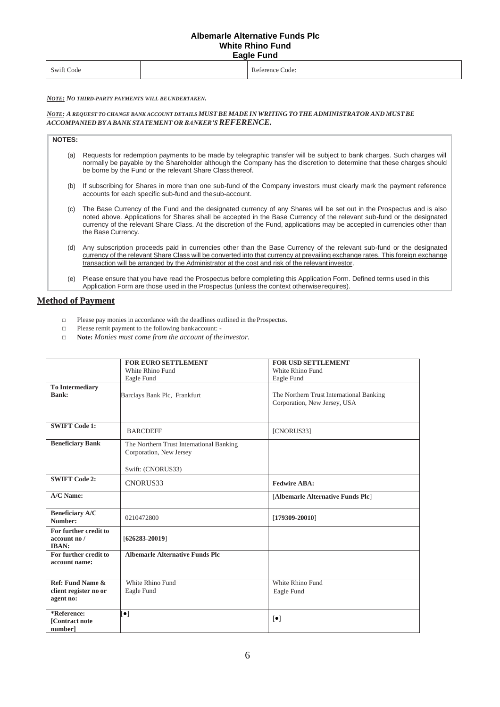| Swift Code<br>. |  | Reference Code:<br>. |
|-----------------|--|----------------------|
|-----------------|--|----------------------|

*NOTE: NO THIRD-PARTY PAYMENTS WILL BEUNDERTAKEN.*

### *NOTE: A REQUEST TO CHANGE BANK ACCOUNT DETAILS MUSTBE MADEIN WRITING TOTHEADMINISTRATOR AND MUSTBE ACCOMPANIED BYABANK STATEMENT OR BANKER'SREFERENCE.*

| <b>NOTES:</b> |                                                                                                                                                                                                                                                                                                              |
|---------------|--------------------------------------------------------------------------------------------------------------------------------------------------------------------------------------------------------------------------------------------------------------------------------------------------------------|
| (a)           | Requests for redemption payments to be made by telegraphic transfer will be subject to bank charges. Such charges will<br>normally be payable by the Shareholder although the Company has the discretion to determine that these charges should<br>be borne by the Fund or the relevant Share Class thereof. |
|               | (b) If a changleban fan Okanaa bennemme than neamach feual af tha Oannaman bernammen mer alamh maagh tha macmaant nafananaa                                                                                                                                                                                  |

- (b) If subscribing for Shares in more than one sub-fund of the Company investors must clearly mark the payment reference accounts for each specific sub-fund and thesub-account.
- (c) The Base Currency of the Fund and the designated currency of any Shares will be set out in the Prospectus and is also noted above. Applications for Shares shall be accepted in the Base Currency of the relevant sub-fund or the designated currency of the relevant Share Class. At the discretion of the Fund, applications may be accepted in currencies other than the Base Currency.
- (d) Any subscription proceeds paid in currencies other than the Base Currency of the relevant sub-fund or the designated currency of the relevant Share Class will be converted into that currency at prevailing exchange rates. This foreign exchange transaction will be arranged by the Administrator at the cost and risk of the relevant investor.
- (e) Please ensure that you have read the Prospectus before completing this Application Form. Defined terms used in this Application Form are those used in the Prospectus (unless the context otherwiserequires).

# **Method of Payment**

- □ Please pay monies in accordance with the deadlines outlined in the Prospectus.
- □ Please remit payment to the following bankaccount: -
- □ **Note:** *Monies must come from the account of theinvestor.*

|                         | <b>FOR EURO SETTLEMENT</b>               | <b>FOR USD SETTLEMENT</b>                |
|-------------------------|------------------------------------------|------------------------------------------|
|                         | White Rhino Fund                         | White Rhino Fund                         |
|                         | Eagle Fund                               | Eagle Fund                               |
| <b>To Intermediary</b>  |                                          |                                          |
| Bank:                   | Barclays Bank Plc, Frankfurt             | The Northern Trust International Banking |
|                         |                                          | Corporation, New Jersey, USA             |
|                         |                                          |                                          |
|                         |                                          |                                          |
| <b>SWIFT Code 1:</b>    |                                          |                                          |
|                         | <b>BARCDEFF</b>                          | [CNORUS33]                               |
|                         |                                          |                                          |
| <b>Beneficiary Bank</b> | The Northern Trust International Banking |                                          |
|                         | Corporation, New Jersey                  |                                          |
|                         |                                          |                                          |
|                         | Swift: (CNORUS33)                        |                                          |
| <b>SWIFT Code 2:</b>    |                                          |                                          |
|                         | CNORUS33                                 | <b>Fedwire ABA:</b>                      |
| A/C Name:               |                                          | [Albemarle Alternative Funds Plc]        |
|                         |                                          |                                          |
| <b>Beneficiary A/C</b>  |                                          |                                          |
| Number:                 | 0210472800                               | $[179309 - 20010]$                       |
| For further credit to   |                                          |                                          |
| account no /            |                                          |                                          |
| <b>IBAN:</b>            | $[626283 - 20019]$                       |                                          |
| For further credit to   | <b>Albemarle Alternative Funds Plc</b>   |                                          |
| account name:           |                                          |                                          |
|                         |                                          |                                          |
|                         |                                          |                                          |
| Ref: Fund Name &        | White Rhino Fund                         | White Rhino Fund                         |
| client register no or   | Eagle Fund                               | Eagle Fund                               |
| agent no:               |                                          |                                          |
|                         |                                          |                                          |
| *Reference:             | $\left[\bullet\right]$                   |                                          |
| <b>[Contract note</b>   |                                          | $\lceil \bullet \rceil$                  |
| number]                 |                                          |                                          |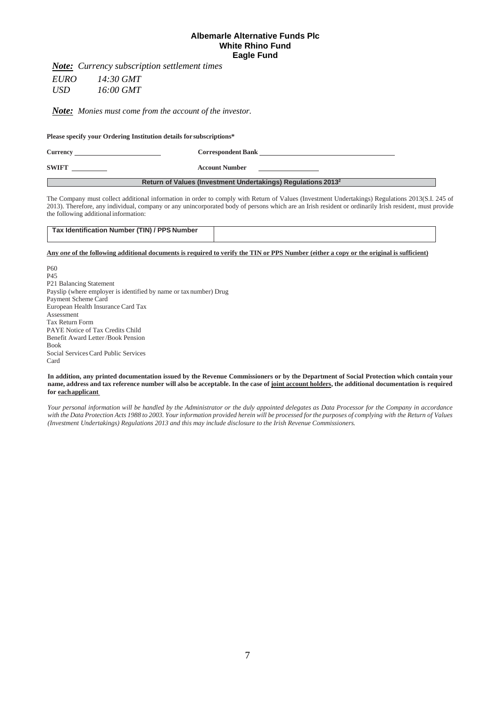*Note: Currency subscription settlement times*

*EURO 14:30 GMT USD 16:00 GMT*

*Note: Monies must come from the account of the investor.*

**Please specify your Ordering Institution details for subscriptions\***

| Currency     | <b>Correspondent Bank</b>                                                |
|--------------|--------------------------------------------------------------------------|
| <b>SWIFT</b> | <b>Account Number</b>                                                    |
|              | Return of Values (Investment Undertakings) Regulations 2013 <sup>2</sup> |

The Company must collect additional information in order to comply with Return of Values (Investment Undertakings) Regulations 2013(S.I. 245 of 2013). Therefore, any individual, company or any unincorporated body of persons which are an Irish resident or ordinarily Irish resident, must provide the following additional information:

| Tax Identification Number (TIN) / PPS Number |  |
|----------------------------------------------|--|
|                                              |  |

Any one of the following additional documents is required to verify the TIN or PPS Number (either a copy or the original is sufficient)

P60 P45 P21 Balancing Statement Payslip (where employer is identified by name or taxnumber) Drug Payment Scheme Card European Health Insurance Card Tax Assessment Tax Return Form PAYE Notice of Tax Credits Child Benefit Award Letter /Book Pension Book Social Services Card Public Services Card

#### In addition, any printed documentation issued by the Revenue Commissioners or by the Department of Social Protection which contain your name, address and tax reference number will also be acceptable. In the case of joint account holders, the additional documentation is required **for eachapplicant**

Your personal information will be handled by the Administrator or the duly appointed delegates as Data Processor for the Company in accordance with the Data Protection Acts 1988 to 2003. Your information provided herein will be processed for the purposes of complying with the Return of Values *(Investment Undertakings) Regulations 2013 and this may include disclosure to the Irish Revenue Commissioners.*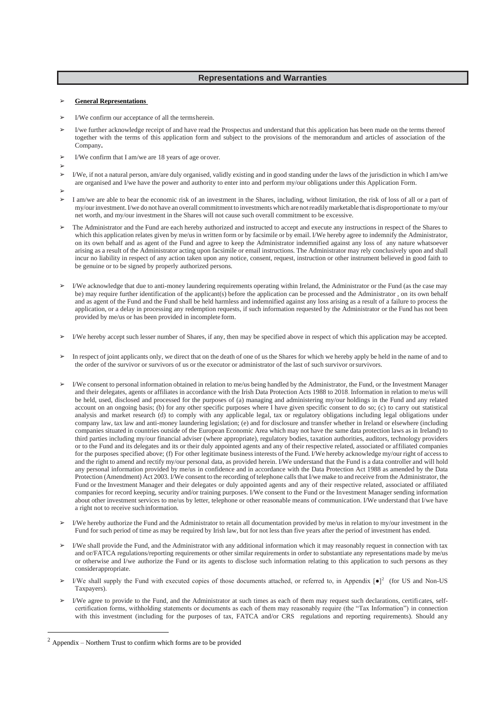### **Representations and Warranties**

#### ➢ **General Representations**

- I/We confirm our acceptance of all the terms herein.
- I/we further acknowledge receipt of and have read the Prospectus and understand that this application has been made on the terms thereof together with the terms of this application form and subject to the provisions of the memorandum and articles of association of the Company**.**
- ➢ I/We confirm that I am/we are 18 years of age orover.
- ➢
- $\triangleright$  I/We, if not a natural person, am/are duly organised, validly existing and in good standing under the laws of the jurisdiction in which I am/we are organised and I/we have the power and authority to enter into and perform my/our obligations under this Application Form.
- ➢
- ➢ I am/we are able to bear the economic risk of an investment in the Shares, including, without limitation, the risk of loss of all or a part of my/ourinvestment.I/we do not have an overall commitment to investments which are notreadilymarketable that is disproportionate to my/our net worth, and my/our investment in the Shares will not cause such overall commitment to be excessive.
- ➢ The Administrator and the Fund are each hereby authorized and instructed to accept and execute any instructions in respect of the Shares to which this application relates given by me/us in written form or by facsimile or by email. I/We hereby agree to indemnify the Administrator, on its own behalf and as agent of the Fund and agree to keep the Administrator indemnified against any loss of any nature whatsoever arising as a result of the Administrator acting upon facsimile or email instructions. The Administrator may rely conclusively upon and shall incur no liability in respect of any action taken upon any notice, consent, request, instruction or other instrument believed in good faith to be genuine or to be signed by properly authorized persons.
- ➢ I/We acknowledge that due to anti-money laundering requirements operating within Ireland, the Administrator or the Fund (as the case may be) may require further identification of the applicant(s) before the application can be processed and the Administrator , on its own behalf and as agent of the Fund and the Fund shall be held harmless and indemnified against any loss arising as a result of a failure to process the application, or a delay in processing any redemption requests, if such information requested by the Administrator or the Fund has not been provided by me/us or has been provided in incomplete form.
- ➢ I/We hereby accept such lesser number of Shares, if any, then may be specified above in respect of which this application may be accepted.
- ➢ In respect of joint applicants only, we direct that on the death of one of us the Shares for which we hereby apply be held in the name of and to the order of the survivor or survivors of us or the executor or administrator of the last of such survivor orsurvivors.
- ➢ I/We consent to personal information obtained in relation to me/us being handled by the Administrator, the Fund, or the Investment Manager and their delegates, agents or affiliates in accordance with the Irish Data Protection Acts 1988 to 2018. Information in relation to me/us will be held, used, disclosed and processed for the purposes of (a) managing and administering my/our holdings in the Fund and any related account on an ongoing basis; (b) for any other specific purposes where I have given specific consent to do so; (c) to carry out statistical analysis and market research (d) to comply with any applicable legal, tax or regulatory obligations including legal obligations under company law, tax law and anti-money laundering legislation; (e) and for disclosure and transfer whether in Ireland or elsewhere (including companies situated in countries outside of the European Economic Area which may not have the same data protection laws as in Ireland) to third parties including my/our financial adviser (where appropriate), regulatory bodies, taxation authorities, auditors, technology providers or to the Fund and its delegates and its or their duly appointed agents and any of their respective related, associated or affiliated companies for the purposes specified above; (f) For other legitimate businessinterests of the Fund. I/We hereby acknowledge my/our right of accessto and the right to amend and rectify my/our personal data, as provided herein. I/We understand that the Fund is a data controller and will hold any personal information provided by me/us in confidence and in accordance with the Data Protection Act 1988 as amended by the Data Protection (Amendment) Act 2003. I/We consent to the recording of telephone calls that I/we make to and receive from the Administrator, the Fund or the Investment Manager and their delegates or duly appointed agents and any of their respective related, associated or affiliated companies for record keeping, security and/or training purposes. I/We consent to the Fund or the Investment Manager sending information about other investment services to me/us by letter, telephone or other reasonable means of communication. I/We understand that I/we have a right not to receive suchinformation.
- ➢ I/We hereby authorize the Fund and the Administrator to retain all documentation provided by me/us in relation to my/our investment in the Fund for such period of time as may be required by Irish law, but for not less than five years after the period of investment has ended.
- ➢ I/We shall provide the Fund, and the Administrator with any additional information which it may reasonably request in connection with tax and or/FATCA regulations/reporting requirements or other similar requirements in order to substantiate any representations made by me/us or otherwise and I/we authorize the Fund or its agents to disclose such information relating to this application to such persons as they considerappropriate.
- $\triangleright$  I/We shall supply the Fund with executed copies of those documents attached, or referred to, in Appendix  $\lceil \bullet \rceil^2$  (for US and Non-US Taxpayers).
- ➢ I/We agree to provide to the Fund, and the Administrator at such times as each of them may request such declarations, certificates, selfcertification forms, withholding statements or documents as each of them may reasonably require (the "Tax Information") in connection with this investment (including for the purposes of tax, FATCA and/or CRS regulations and reporting requirements). Should any

 $2$  Appendix – Northern Trust to confirm which forms are to be provided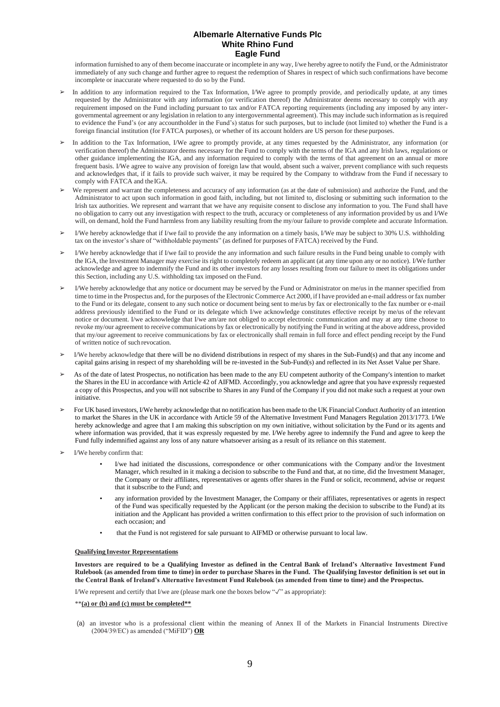information furnished to any of them become inaccurate or incomplete in any way, I/we hereby agree to notify the Fund, or the Administrator immediately of any such change and further agree to request the redemption of Shares in respect of which such confirmations have become incomplete or inaccurate where requested to do so by the Fund.

- In addition to any information required to the Tax Information, I/We agree to promptly provide, and periodically update, at any times requested by the Administrator with any information (or verification thereof) the Administrator deems necessary to comply with any requirement imposed on the Fund including pursuant to tax and/or FATCA reporting requirements (including any imposed by any intergovernmental agreement or any legislation in relation to any intergovernmental agreement). This may include such information asisrequired to evidence the Fund's (or any accountholder in the Fund's) status for such purposes, but to include (not limited to) whether the Fund is a foreign financial institution (for FATCA purposes), or whether of its account holders are US person for these purposes.
- ➢ In addition to the Tax Information, I/We agree to promptly provide, at any times requested by the Administrator, any information (or verification thereof) the Administrator deems necessary for the Fund to comply with the terms of the IGA and any Irish laws, regulations or other guidance implementing the IGA, and any information required to comply with the terms of that agreement on an annual or more frequent basis. I/We agree to waive any provision of foreign law that would, absent such a waiver, prevent compliance with such requests and acknowledges that, if it fails to provide such waiver, it may be required by the Company to withdraw from the Fund if necessary to comply with FATCA and theIGA.
- We represent and warrant the completeness and accuracy of any information (as at the date of submission) and authorize the Fund, and the Administrator to act upon such information in good faith, including, but not limited to, disclosing or submitting such information to the Irish tax authorities. We represent and warrant that we have any requisite consent to disclose any information to you. The Fund shall have no obligation to carry out any investigation with respect to the truth, accuracy or completeness of any information provided by us and I/We will, on demand, hold the Fund harmless from any liability resulting from the my/our failure to provide complete and accurate Information.
- ➢ I/We hereby acknowledge that if I/we fail to provide the any information on a timely basis, I/We may be subject to 30% U.S. withholding tax on the investor's share of "withholdable payments" (as defined for purposes of FATCA) received by the Fund.
- ➢ I/We hereby acknowledge that if I/we fail to provide the any information and such failure results in the Fund being unable to comply with the IGA, the Investment Manager may exercise its right to completely redeem an applicant (at any time upon any or no notice). I/We further acknowledge and agree to indemnify the Fund and its other investors for any losses resulting from our failure to meet its obligations under this Section, including any U.S. withholding tax imposed on theFund.
- ➢ I/We hereby acknowledge that any notice or document may be served by the Fund or Administrator on me/us in the manner specified from time to time in the Prospectus and, for the purposes of the Electronic Commerce Act 2000, ifI have provided an e-mail address or fax number to the Fund or its delegate, consent to any such notice or document being sent to me/us by fax or electronically to the fax number or e-mail address previously identified to the Fund or its delegate which I/we acknowledge constitutes effective receipt by me/us of the relevant notice or document. I/we acknowledge that I/we am/are not obliged to accept electronic communication and may at any time choose to revoke my/our agreement to receive communications by fax or electronically by notifying the Fund in writing at the above address, provided that my/our agreement to receive communications by fax or electronically shall remain in full force and effect pending receipt by the Fund of written notice of such revocation.
- ➢ I/We hereby acknowledge that there will be no dividend distributions in respect of my shares in the Sub-Fund(s) and that any income and capital gains arising in respect of my shareholding will be re-invested in the Sub-Fund(s) and reflected in its Net Asset Value per Share.
- As of the date of latest Prospectus, no notification has been made to the any EU competent authority of the Company's intention to market the Shares in the EU in accordance with Article 42 of AIFMD. Accordingly, you acknowledge and agree that you have expressly requested a copy of this Prospectus, and you will not subscribe to Shares in any Fund of the Company if you did not make such a request at your own initiative.
- ➢ For UK based investors, I/We hereby acknowledge that no notification has been made to the UK Financial Conduct Authority of an intention to market the Shares in the UK in accordance with Article 59 of the Alternative Investment Fund Managers Regulation 2013/1773. I/We hereby acknowledge and agree that I am making this subscription on my own initiative, without solicitation by the Fund or its agents and where information was provided, that it was expressly requested by me. I/We hereby agree to indemnify the Fund and agree to keep the Fund fully indemnified against any loss of any nature whatsoever arising as a result of its reliance on this statement.
- I/We hereby confirm that:
	- I/we had initiated the discussions, correspondence or other communications with the Company and/or the Investment Manager, which resulted in it making a decision to subscribe to the Fund and that, at no time, did the Investment Manager, the Company or their affiliates, representatives or agents offer shares in the Fund or solicit, recommend, advise or request that it subscribe to the Fund; and
	- any information provided by the Investment Manager, the Company or their affiliates, representatives or agents in respect of the Fund was specifically requested by the Applicant (or the person making the decision to subscribe to the Fund) at its initiation and the Applicant has provided a written confirmation to this effect prior to the provision of such information on each occasion; and
	- that the Fund is not registered for sale pursuant to AIFMD or otherwise pursuant to local law.

#### **Qualifying Investor Representations**

**Investors are required to be a Qualifying Investor as defined in the Central Bank of Ireland's Alternative Investment Fund**  Rulebook (as amended from time to time) in order to purchase Shares in the Fund. The Qualifying Investor definition is set out in **the Central Bank of Ireland's Alternative Investment Fund Rulebook (as amended from time to time) and the Prospectus.**

I/We represent and certify that I/we are (please mark one the boxes below "✓" as appropriate):

\*\***(a) or (b) and (c) must be completed\*\***

(a) an investor who is a professional client within the meaning of Annex II of the Markets in Financial Instruments Directive (2004/39/EC) as amended ("MiFID") **OR**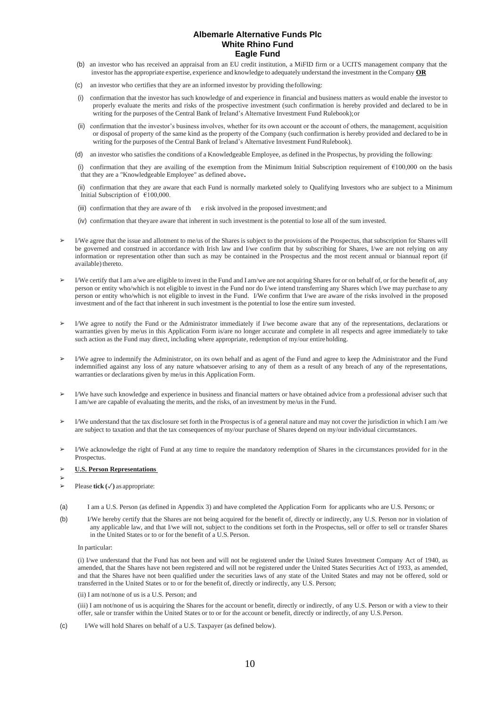- (b) an investor who has received an appraisal from an EU credit institution, a MiFID firm or a UCITS management company that the investor hasthe appropriate expertise, experience and knowledge to adequately understand the investment in the Company **OR**
- (c) an investor who certifies that they are an informed investor by providing thefollowing:
- (i) confirmation that the investor has such knowledge of and experience in financial and business matters as would enable the investor to properly evaluate the merits and risks of the prospective investment (such confirmation is hereby provided and declared to be in writing for the purposes of the Central Bank of Ireland's Alternative Investment Fund Rulebook);or
- (ii) confirmation that the investor's business involves, whether for its own account or the account of others, the management, acquisition or disposal of property of the same kind as the property of the Company (such confirmation is hereby provided and declared to be in writing for the purposes of the Central Bank of Ireland's Alternative Investment Fund Rulebook).
- (d) an investor who satisfies the conditions of a Knowledgeable Employee, as defined in the Prospectus, by providing the following:

(i) confirmation that they are availing of the exemption from the Minimum Initial Subscription requirement of €100,000 on the basis that they are a "Knowledgeable Employee" as defined above.

(ii) confirmation that they are aware that each Fund is normally marketed solely to Qualifying Investors who are subject to a Minimum Initial Subscription of €100,000.

(iii) confirmation that they are aware of th e risk involved in the proposed investment; and

(iv) confirmation that theyare aware that inherent in such investment is the potential to lose all of the sum invested.

- ➢ I/We agree that the issue and allotment to me/us of the Shares is subject to the provisions of the Prospectus, that subscription for Shares will be governed and construed in accordance with Irish law and I/we confirm that by subscribing for Shares, I/we are not relying on any information or representation other than such as may be contained in the Prospectus and the most recent annual or biannual report (if available) thereto.
- I/We certify that I am a/we are eligible to invest in the Fund and I am/we are not acquiring Shares for or on behalf of, or for the benefit of, any person or entity who/which is not eligible to invest in the Fund nor do I/we intend transferring any Shares which I/we may purchase to any person or entity who/which is not eligible to invest in the Fund. I/We confirm that I/we are aware of the risks involved in the proposed investment and of the fact that inherent in such investment is the potential to lose the entire sum invested.
- ➢ I/We agree to notify the Fund or the Administrator immediately if I/we become aware that any of the representations, declarations or warranties given by me/us in this Application Form is/are no longer accurate and complete in all respects and agree immediately to take such action as the Fund may direct, including where appropriate, redemption of my/our entire holding.
- ➢ I/We agree to indemnify the Administrator, on its own behalf and as agent of the Fund and agree to keep the Administrator and the Fund indemnified against any loss of any nature whatsoever arising to any of them as a result of any breach of any of the representations, warranties or declarations given by me/us in this Application Form.
- ➢ I/We have such knowledge and experience in business and financial matters or have obtained advice from a professional adviser such that I am/we are capable of evaluating the merits, and the risks, of an investment by me/us in the Fund.
- ➢ I/We understand that the tax disclosure set forth in the Prospectus is of a general nature and may not cover the jurisdiction in which I am /we are subject to taxation and that the tax consequences of my/our purchase of Shares depend on my/our individual circumstances.
- ➢ I/We acknowledge the right of Fund at any time to require the mandatory redemption of Shares in the circumstances provided for in the Prospectus.

#### ➢ **U.S. Person Representations**

- ➢
- $\triangleright$  Please **tick**  $(\checkmark)$  as appropriate:
- (a) I am a U.S. Person (as defined in Appendix 3) and have completed the Application Form for applicants who are U.S. Persons; or
- (b) I/We hereby certify that the Shares are not being acquired for the benefit of, directly or indirectly, any U.S. Person nor in violation of any applicable law, and that I/we will not, subject to the conditions set forth in the Prospectus, sell or offer to sell or transfer Shares in the United States or to or for the benefit of a U.S. Person.

In particular:

(i) I/we understand that the Fund has not been and will not be registered under the United States Investment Company Act of 1940, as amended, that the Shares have not been registered and will not be registered under the United States Securities Act of 1933, as amended, and that the Shares have not been qualified under the securities laws of any state of the United States and may not be offered, sold or transferred in the United States or to or for the benefit of, directly or indirectly, any U.S. Person;

#### (ii) I am not/none of us is a U.S. Person; and

(iii) I am not/none of us is acquiring the Shares for the account or benefit, directly or indirectly, of any U.S. Person or with a view to their offer, sale or transfer within the United States or to or for the account or benefit, directly or indirectly, of any U.S.Person.

(c) I/We will hold Shares on behalf of a U.S. Taxpayer (as defined below).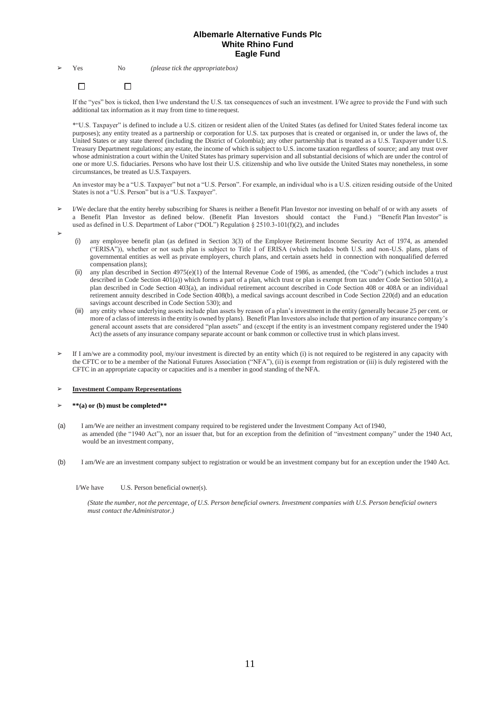#### $\Box$  $\Box$

If the "yes" box is ticked, then I/we understand the U.S. tax consequences of such an investment. I/We agree to provide the Fund with such additional tax information as it may from time to time request.

\*"U.S. Taxpayer" is defined to include a U.S. citizen or resident alien of the United States (as defined for United States federal income tax purposes); any entity treated as a partnership or corporation for U.S. tax purposes that is created or organised in, or under the laws of, the United States or any state thereof (including the District of Colombia); any other partnership that is treated as a U.S. Taxpayer under U.S. Treasury Department regulations; any estate, the income of which is subject to U.S. income taxation regardless of source; and any trust over whose administration a court within the United States has primary supervision and all substantial decisions of which are under the control of one or more U.S. fiduciaries. Persons who have lost their U.S. citizenship and who live outside the United States may nonetheless, in some circumstances, be treated as U.S.Taxpayers.

An investor may be a "U.S. Taxpayer" but not a "U.S. Person". For example, an individual who is a U.S. citizen residing outside of the United States is not a "U.S. Person" but is a "U.S. Taxpayer".

- ➢ I/We declare that the entity hereby subscribing for Shares is neither a Benefit Plan Investor nor investing on behalf of or with any assets of a Benefit Plan Investor as defined below. (Benefit Plan Investors should contact the Fund.) "Benefit Plan Investor" is used as defined in U.S. Department of Labor ("DOL") Regulation § 2510.3-101(f)(2), and includes
- ➢
- (i) any employee benefit plan (as defined in Section 3(3) of the Employee Retirement Income Security Act of 1974, as amended ("ERISA")), whether or not such plan is subject to Title I of ERISA (which includes both U.S. and non-U.S. plans, plans of governmental entities as well as private employers, church plans, and certain assets held in connection with nonqualified deferred compensation plans);
- (ii) any plan described in Section 4975(e)(1) of the Internal Revenue Code of 1986, as amended, (the "Code") (which includes a trust described in Code Section 401(a)) which forms a part of a plan, which trust or plan is exempt from tax under Code Section 501(a), a plan described in Code Section 403(a), an individual retirement account described in Code Section 408 or 408A or an individual retirement annuity described in Code Section 408(b), a medical savings account described in Code Section 220(d) and an education savings account described in Code Section 530); and
- (iii) any entity whose underlying assets include plan assets by reason of a plan's investment in the entity (generally because 25 per cent. or more of a class of interestsin the entity is owned by plans). Benefit Plan Investors also include that portion of any insurance company's general account assets that are considered "plan assets" and (except if the entity is an investment company registered under the 1940 Act) the assets of any insurance company separate account or bank common or collective trust in which plansinvest.
- ➢ If I am/we are a commodity pool, my/our investment is directed by an entity which (i) is not required to be registered in any capacity with the CFTC or to be a member of the National Futures Association ("NFA"), (ii) is exempt from registration or (iii) is duly registered with the CFTC in an appropriate capacity or capacities and is a member in good standing of theNFA.

### ➢ **Investment Company Representations**

#### ➢ **\*\*(a) or (b) must be completed\*\***

- (a) I am/We are neither an investment company required to be registered under the Investment Company Act of1940, as amended (the "1940 Act"), nor an issuer that, but for an exception from the definition of "investment company" under the 1940 Act, would be an investment company,
- (b) I am/We are an investment company subject to registration or would be an investment company but for an exception under the 1940 Act.

#### I/We have U.S. Person beneficial owner(s).

(State the number, not the percentage, of U.S. Person beneficial owners, Investment companies with U.S. Person beneficial owners *must contact theAdministrator.)*

<sup>➢</sup> Yes No *(please tick the appropriatebox)*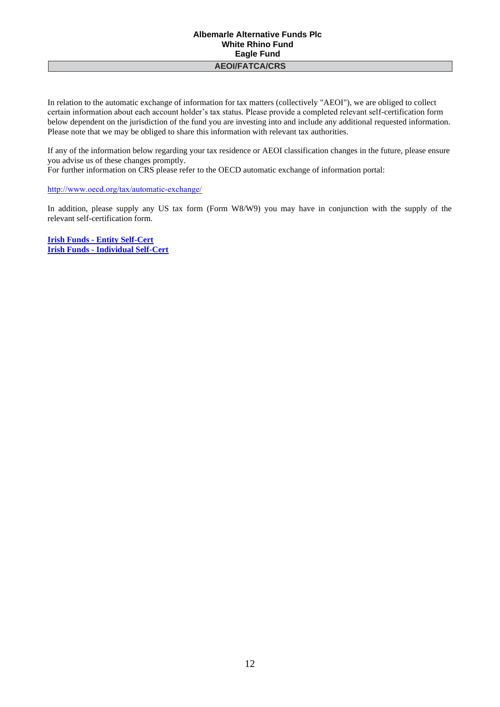In relation to the automatic exchange of information for tax matters (collectively "AEOI"), we are obliged to collect certain information about each account holder's tax status. Please provide a completed relevant self-certification form below dependent on the jurisdiction of the fund you are investing into and include any additional requested information. Please note that we may be obliged to share this information with relevant tax authorities.

If any of the information below regarding your tax residence or AEOI classification changes in the future, please ensure you advise us of these changes promptly.

For further information on CRS please refer to the OECD automatic exchange of information portal:

<http://www.oecd.org/tax/automatic‐exchange/>

In addition, please supply any US tax form (Form W8/W9) you may have in conjunction with the supply of the relevant self-certification form.

**Irish Funds - [Entity Self-Cert](https://files.irishfunds.ie/1498814142-Irish-Funds-Entity-Self-Certification-for-FATCA-and-CRS-May-2017.pdf) Irish Funds - [Individual Self-Cert](https://files.irishfunds.ie/1498814006-Irish-Funds-Individual-Self-Certification-for-FATCA-and-CRS-May-2017.pdf)**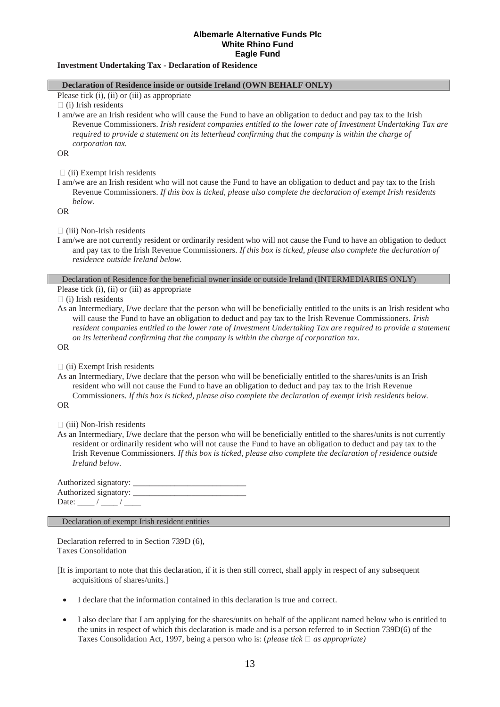### **Investment Undertaking Tax - Declaration of Residence**

### **Declaration of Residence inside or outside Ireland (OWN BEHALF ONLY)**

Please tick (i), (ii) or (iii) as appropriate

 $\Box$  (i) Irish residents

I am/we are an Irish resident who will cause the Fund to have an obligation to deduct and pay tax to the Irish Revenue Commissioners. *Irish resident companies entitled to the lower rate of Investment Undertaking Tax are required to provide a statement on its letterhead confirming that the company is within the charge of corporation tax.*

OR

 $\Box$  (ii) Exempt Irish residents

I am/we are an Irish resident who will not cause the Fund to have an obligation to deduct and pay tax to the Irish Revenue Commissioners. *If this box is ticked, please also complete the declaration of exempt Irish residents below.*

OR

 $\Box$  (iii) Non-Irish residents

I am/we are not currently resident or ordinarily resident who will not cause the Fund to have an obligation to deduct and pay tax to the Irish Revenue Commissioners. *If this box is ticked, please also complete the declaration of residence outside Ireland below.*

Declaration of Residence for the beneficial owner inside or outside Ireland (INTERMEDIARIES ONLY)

Please tick (i), (ii) or (iii) as appropriate

 $\Box$  (i) Irish residents

As an Intermediary, I/we declare that the person who will be beneficially entitled to the units is an Irish resident who will cause the Fund to have an obligation to deduct and pay tax to the Irish Revenue Commissioners. *Irish resident companies entitled to the lower rate of Investment Undertaking Tax are required to provide a statement on its letterhead confirming that the company is within the charge of corporation tax.*

OR

 $\Box$  (ii) Exempt Irish residents

As an Intermediary, I/we declare that the person who will be beneficially entitled to the shares/units is an Irish resident who will not cause the Fund to have an obligation to deduct and pay tax to the Irish Revenue Commissioners. *If this box is ticked, please also complete the declaration of exempt Irish residents below.*

OR

 $\Box$  (iii) Non-Irish residents

As an Intermediary, I/we declare that the person who will be beneficially entitled to the shares/units is not currently resident or ordinarily resident who will not cause the Fund to have an obligation to deduct and pay tax to the Irish Revenue Commissioners. *If this box is ticked, please also complete the declaration of residence outside Ireland below.*

Authorized signatory: Authorized signatory: Date:  $/$  /  $/$ 

Declaration of exempt Irish resident entities

Declaration referred to in Section 739D (6), Taxes Consolidation

[It is important to note that this declaration, if it is then still correct, shall apply in respect of any subsequent acquisitions of shares/units.]

- I declare that the information contained in this declaration is true and correct.
- I also declare that I am applying for the shares/units on behalf of the applicant named below who is entitled to the units in respect of which this declaration is made and is a person referred to in Section 739D(6) of the Taxes Consolidation Act, 1997, being a person who is: *(please tick*  $\Box$  *as appropriate)*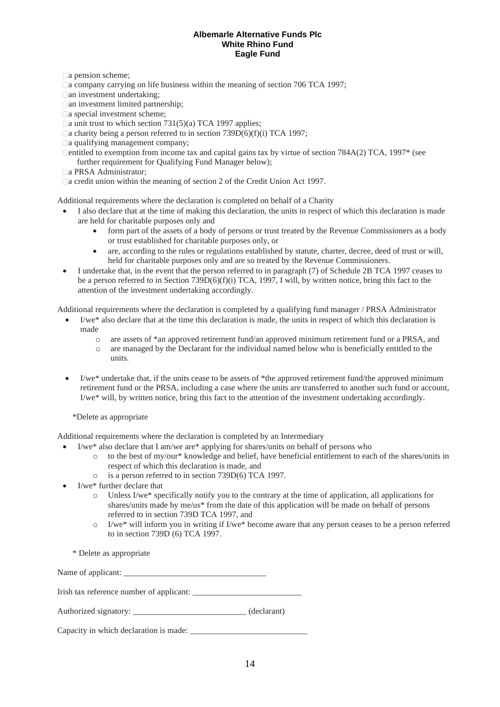□ a pension scheme;

 $\Box$  a company carrying on life business within the meaning of section 706 TCA 1997;

an investment undertaking;

□ an investment limited partnership;

□ a special investment scheme;

 $\Box$  a unit trust to which section 731(5)(a) TCA 1997 applies;

 $\Box$  a charity being a person referred to in section 739D(6)(f)(i) TCA 1997;

□ a qualifying management company;

 $\Box$ entitled to exemption from income tax and capital gains tax by virtue of section 784A(2) TCA, 1997 $*$  (see further requirement for Qualifying Fund Manager below);

a PRSA Administrator;

a credit union within the meaning of section 2 of the Credit Union Act 1997.

Additional requirements where the declaration is completed on behalf of a Charity

- I also declare that at the time of making this declaration, the units in respect of which this declaration is made are held for charitable purposes only and
	- form part of the assets of a body of persons or trust treated by the Revenue Commissioners as a body or trust established for charitable purposes only, or
	- are, according to the rules or regulations established by statute, charter, decree, deed of trust or will, held for charitable purposes only and are so treated by the Revenue Commissioners.
- I undertake that, in the event that the person referred to in paragraph (7) of Schedule 2B TCA 1997 ceases to be a person referred to in Section 739D(6)(f)(i) TCA, 1997, I will, by written notice, bring this fact to the attention of the investment undertaking accordingly.

Additional requirements where the declaration is completed by a qualifying fund manager / PRSA Administrator

- I/we\* also declare that at the time this declaration is made, the units in respect of which this declaration is made
	- o are assets of \*an approved retirement fund/an approved minimum retirement fund or a PRSA, and
	- o are managed by the Declarant for the individual named below who is beneficially entitled to the units.
- I/we<sup>\*</sup> undertake that, if the units cease to be assets of \*the approved retirement fund/the approved minimum retirement fund or the PRSA, including a case where the units are transferred to another such fund or account, I/we\* will, by written notice, bring this fact to the attention of the investment undertaking accordingly.

\*Delete as appropriate

Additional requirements where the declaration is completed by an Intermediary

- I/we\* also declare that I am/we are\* applying for shares/units on behalf of persons who
	- o to the best of my/our\* knowledge and belief, have beneficial entitlement to each of the shares/units in respect of which this declaration is made, and
	- o is a person referred to in section 739D(6) TCA 1997.
- I/we\* further declare that
	- Unless I/we<sup>\*</sup> specifically notify you to the contrary at the time of application, all applications for shares/units made by me/us\* from the date of this application will be made on behalf of persons referred to in section 739D TCA 1997, and
	- o I/we\* will inform you in writing if I/we\* become aware that any person ceases to be a person referred to in section 739D (6) TCA 1997.

\* Delete as appropriate

Name of applicant:

Irish tax reference number of applicant: \_\_\_\_\_\_\_\_\_\_\_\_\_\_\_\_\_\_\_\_\_\_\_\_\_\_

| Authorized signatory: |  | (declarant) |
|-----------------------|--|-------------|
|-----------------------|--|-------------|

Capacity in which declaration is made: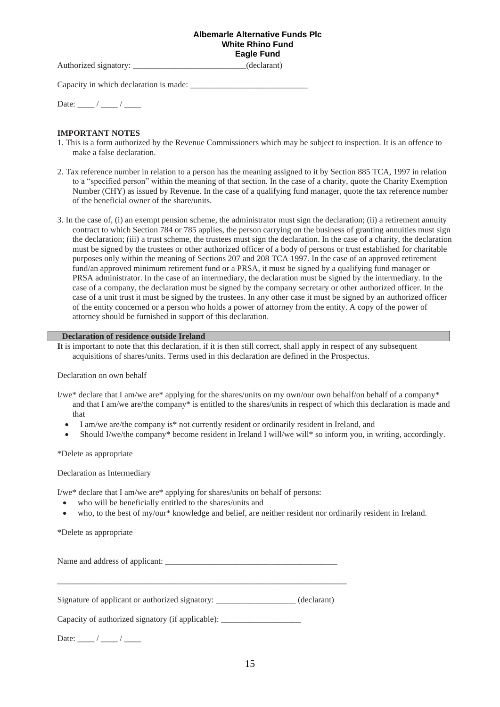Authorized signatory: \_\_\_\_\_\_\_\_\_\_\_\_\_\_\_\_\_\_\_\_\_\_\_\_\_\_\_\_\_\_(declarant)

Capacity in which declaration is made:

Date:  $\frac{1}{\sqrt{2\pi}}$  /  $\frac{1}{\sqrt{2\pi}}$ 

# **IMPORTANT NOTES**

- 1. This is a form authorized by the Revenue Commissioners which may be subject to inspection. It is an offence to make a false declaration.
- 2. Tax reference number in relation to a person has the meaning assigned to it by Section 885 TCA, 1997 in relation to a "specified person" within the meaning of that section. In the case of a charity, quote the Charity Exemption Number (CHY) as issued by Revenue. In the case of a qualifying fund manager, quote the tax reference number of the beneficial owner of the share/units.
- 3. In the case of, (i) an exempt pension scheme, the administrator must sign the declaration; (ii) a retirement annuity contract to which Section 784 or 785 applies, the person carrying on the business of granting annuities must sign the declaration; (iii) a trust scheme, the trustees must sign the declaration. In the case of a charity, the declaration must be signed by the trustees or other authorized officer of a body of persons or trust established for charitable purposes only within the meaning of Sections 207 and 208 TCA 1997. In the case of an approved retirement fund/an approved minimum retirement fund or a PRSA, it must be signed by a qualifying fund manager or PRSA administrator. In the case of an intermediary, the declaration must be signed by the intermediary. In the case of a company, the declaration must be signed by the company secretary or other authorized officer. In the case of a unit trust it must be signed by the trustees. In any other case it must be signed by an authorized officer of the entity concerned or a person who holds a power of attorney from the entity. A copy of the power of attorney should be furnished in support of this declaration.

### **Declaration of residence outside Ireland**

**I**t is important to note that this declaration, if it is then still correct, shall apply in respect of any subsequent acquisitions of shares/units. Terms used in this declaration are defined in the Prospectus.

### Declaration on own behalf

- I/we\* declare that I am/we are\* applying for the shares/units on my own/our own behalf/on behalf of a company\* and that I am/we are/the company\* is entitled to the shares/units in respect of which this declaration is made and that
	- I am/we are/the company is\* not currently resident or ordinarily resident in Ireland, and
	- Should I/we/the company\* become resident in Ireland I will/we will\* so inform you, in writing, accordingly.

### \*Delete as appropriate

Declaration as Intermediary

I/we\* declare that I am/we are\* applying for shares/units on behalf of persons:

- who will be beneficially entitled to the shares/units and
- who, to the best of my/our\* knowledge and belief, are neither resident nor ordinarily resident in Ireland.

\*Delete as appropriate

Name and address of applicant:

Signature of applicant or authorized signatory: \_\_\_\_\_\_\_\_\_\_\_\_\_\_\_\_\_\_\_ (declarant)

\_\_\_\_\_\_\_\_\_\_\_\_\_\_\_\_\_\_\_\_\_\_\_\_\_\_\_\_\_\_\_\_\_\_\_\_\_\_\_\_\_\_\_\_\_\_\_\_\_\_\_\_\_\_\_\_\_\_\_\_\_\_\_\_\_\_\_\_\_

Capacity of authorized signatory (if applicable): \_\_\_\_\_\_\_\_\_\_\_\_\_\_\_\_\_\_\_\_\_\_\_\_\_\_\_\_\_\_\_

Date:  $\frac{1}{2}$  / \_\_\_\_\_\_\_ / \_\_\_\_\_\_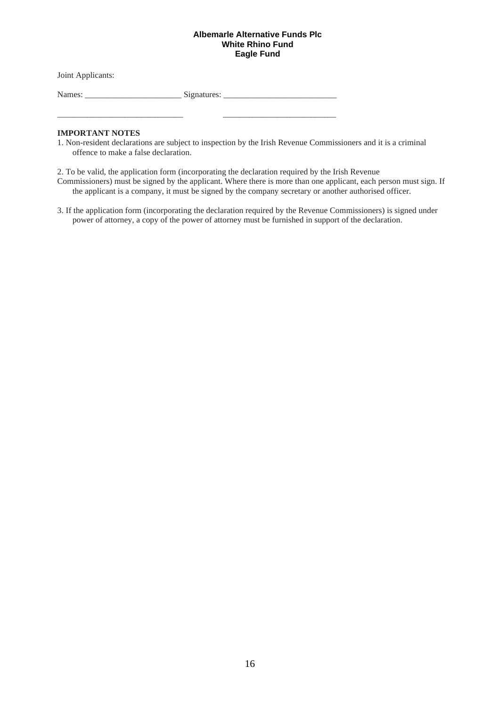Joint Applicants:

Names: \_\_\_\_\_\_\_\_\_\_\_\_\_\_\_\_\_\_\_\_\_\_\_ Signatures: \_\_\_\_\_\_\_\_\_\_\_\_\_\_\_\_\_\_\_\_\_\_\_\_\_\_\_

\_\_\_\_\_\_\_\_\_\_\_\_\_\_\_\_\_\_\_\_\_\_\_\_\_\_\_\_\_\_ \_\_\_\_\_\_\_\_\_\_\_\_\_\_\_\_\_\_\_\_\_\_\_\_\_\_\_

# **IMPORTANT NOTES**

1. Non-resident declarations are subject to inspection by the Irish Revenue Commissioners and it is a criminal offence to make a false declaration.

2. To be valid, the application form (incorporating the declaration required by the Irish Revenue

Commissioners) must be signed by the applicant. Where there is more than one applicant, each person must sign. If the applicant is a company, it must be signed by the company secretary or another authorised officer.

3. If the application form (incorporating the declaration required by the Revenue Commissioners) is signed under power of attorney, a copy of the power of attorney must be furnished in support of the declaration.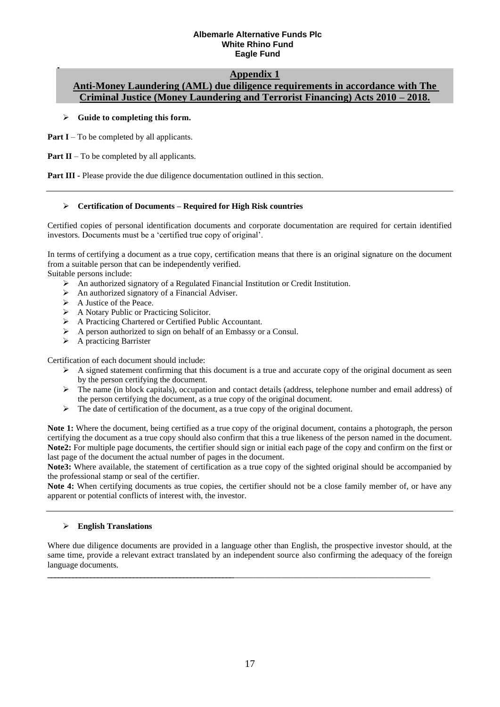# **Appendix 1**

# **Anti-Money Laundering (AML) due diligence requirements in accordance with The Criminal Justice (Money Laundering and Terrorist Financing) Acts 2010 – 2018.**

# ➢ **Guide to completing this form.**

**Part I** – To be completed by all applicants.

**Part II** – To be completed by all applicants.

**Part III -** Please provide the due diligence documentation outlined in this section.

# ➢ **Certification of Documents – Required for High Risk countries**

Certified copies of personal identification documents and corporate documentation are required for certain identified investors. Documents must be a 'certified true copy of original'.

In terms of certifying a document as a true copy, certification means that there is an original signature on the document from a suitable person that can be independently verified.

Suitable persons include:

- ➢ An authorized signatory of a Regulated Financial Institution or Credit Institution.
- ➢ An authorized signatory of a Financial Adviser.
- ➢ A Justice of the Peace.
- ➢ A Notary Public or Practicing Solicitor.
- ➢ A Practicing Chartered or Certified Public Accountant.
- ➢ A person authorized to sign on behalf of an Embassy or a Consul.
- ➢ A practicing Barrister

Certification of each document should include:

- $\triangleright$  A signed statement confirming that this document is a true and accurate copy of the original document as seen by the person certifying the document.
- ➢ The name (in block capitals), occupation and contact details (address, telephone number and email address) of the person certifying the document, as a true copy of the original document.
- ➢ The date of certification of the document, as a true copy of the original document.

**Note 1:** Where the document, being certified as a true copy of the original document, contains a photograph, the person certifying the document as a true copy should also confirm that this a true likeness of the person named in the document. **Note2:** For multiple page documents, the certifier should sign or initial each page of the copy and confirm on the first or last page of the document the actual number of pages in the document.

**Note3:** Where available, the statement of certification as a true copy of the sighted original should be accompanied by the professional stamp or seal of the certifier.

**Note 4:** When certifying documents as true copies, the certifier should not be a close family member of, or have any apparent or potential conflicts of interest with, the investor.

# ➢ **English Translations**

Where due diligence documents are provided in a language other than English, the prospective investor should, at the same time, provide a relevant extract translated by an independent source also confirming the adequacy of the foreign language documents.

**\_\_\_\_\_\_\_\_\_\_\_\_\_\_\_\_\_\_\_\_\_\_\_\_\_\_\_\_\_\_\_\_\_\_\_\_\_\_\_\_\_\_\_\_\_\_\_\_\_\_\_\_**\_\_\_\_\_\_\_\_\_\_\_\_\_\_\_\_\_\_\_\_\_\_\_\_\_\_\_\_\_\_\_\_\_\_\_\_\_\_\_\_\_\_\_\_\_\_\_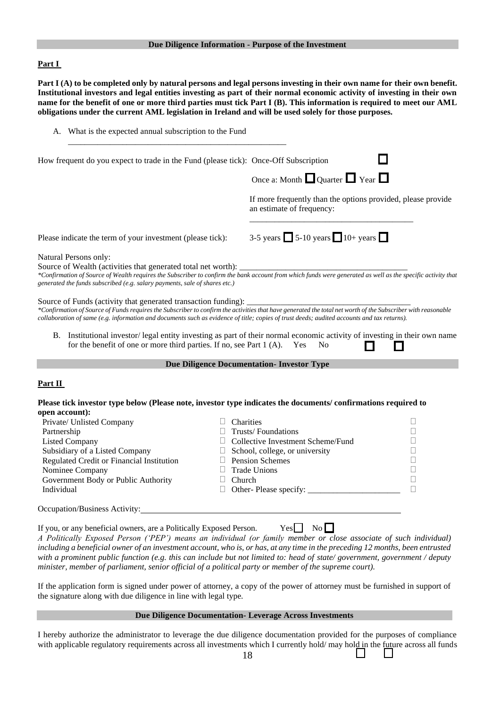### **Due Diligence Information - Purpose of the Investment**

### **Part I**

Part I (A) to be completed only by natural persons and legal persons investing in their own name for their own benefit. **Institutional investors and legal entities investing as part of their normal economic activity of investing in their own name for the benefit of one or more third parties must tick Part I (B). This information is required to meet our AML obligations under the current AML legislation in Ireland and will be used solely for those purposes.**

| How frequent do you expect to trade in the Fund (please tick): Once-Off Subscription |                                                                                                                                                                                                                                                                                                                                                                                                                                                            |
|--------------------------------------------------------------------------------------|------------------------------------------------------------------------------------------------------------------------------------------------------------------------------------------------------------------------------------------------------------------------------------------------------------------------------------------------------------------------------------------------------------------------------------------------------------|
|                                                                                      | Once a: Month $\Box$ Quarter $\Box$ Year $\Box$                                                                                                                                                                                                                                                                                                                                                                                                            |
|                                                                                      | If more frequently than the options provided, please provide<br>an estimate of frequency:                                                                                                                                                                                                                                                                                                                                                                  |
| Please indicate the term of your investment (please tick):                           | 3-5 years $\Box$ 5-10 years $\Box$ 10+ years $\Box$                                                                                                                                                                                                                                                                                                                                                                                                        |
| Natural Persons only:                                                                |                                                                                                                                                                                                                                                                                                                                                                                                                                                            |
| Source of Wealth (activities that generated total net worth):                        |                                                                                                                                                                                                                                                                                                                                                                                                                                                            |
|                                                                                      |                                                                                                                                                                                                                                                                                                                                                                                                                                                            |
| for the benefit of one or more third parties. If no, see Part 1 (A). Yes             | *Confirmation of Source of Funds requires the Subscriber to confirm the activities that have generated the total net worth of the Subscriber with reasonable<br>collaboration of same (e.g. information and documents such as evidence of title; copies of trust deeds; audited accounts and tax returns).<br>B. Institutional investor/ legal entity investing as part of their normal economic activity of investing in their own name<br>N <sub>0</sub> |
|                                                                                      | <b>Due Diligence Documentation- Investor Type</b>                                                                                                                                                                                                                                                                                                                                                                                                          |
| generated the funds subscribed (e.g. salary payments, sale of shares etc.)           |                                                                                                                                                                                                                                                                                                                                                                                                                                                            |
| Part II                                                                              | Please tick investor type below (Please note, investor type indicates the documents/confirmations required to                                                                                                                                                                                                                                                                                                                                              |
| Private/ Unlisted Company                                                            | Charities<br>Н                                                                                                                                                                                                                                                                                                                                                                                                                                             |
| Partnership                                                                          | <b>Trusts/Foundations</b>                                                                                                                                                                                                                                                                                                                                                                                                                                  |
| <b>Listed Company</b>                                                                | Collective Investment Scheme/Fund                                                                                                                                                                                                                                                                                                                                                                                                                          |
| Subsidiary of a Listed Company                                                       | $\Box$ School, college, or university                                                                                                                                                                                                                                                                                                                                                                                                                      |
| Regulated Credit or Financial Institution                                            | $\Box$ Pension Schemes                                                                                                                                                                                                                                                                                                                                                                                                                                     |
| Nominee Company                                                                      | <b>Trade Unions</b>                                                                                                                                                                                                                                                                                                                                                                                                                                        |
| open account):<br>Government Body or Public Authority<br>Individual                  | $\Box$<br>П<br>Church<br>П                                                                                                                                                                                                                                                                                                                                                                                                                                 |

If you, or any beneficial owners, are a Politically Exposed Person. Yes  $\Box$  No *A Politically Exposed Person ('PEP') means an individual (or family member or close associate of such individual) including a beneficial owner of an investment account, who is, or has, at any time in the preceding 12 months, been entrusted with a prominent public function (e.g. this can include but not limited to: head of state/ government, government / deputy minister, member of parliament, senior official of a political party or member of the supreme court).*

If the application form is signed under power of attorney, a copy of the power of attorney must be furnished in support of the signature along with due diligence in line with legal type.

# **Due Diligence Documentation- Leverage Across Investments**

I hereby authorize the administrator to leverage the due diligence documentation provided for the purposes of compliance with applicable regulatory requirements across all investments which I currently hold/ may hold in the future across all funds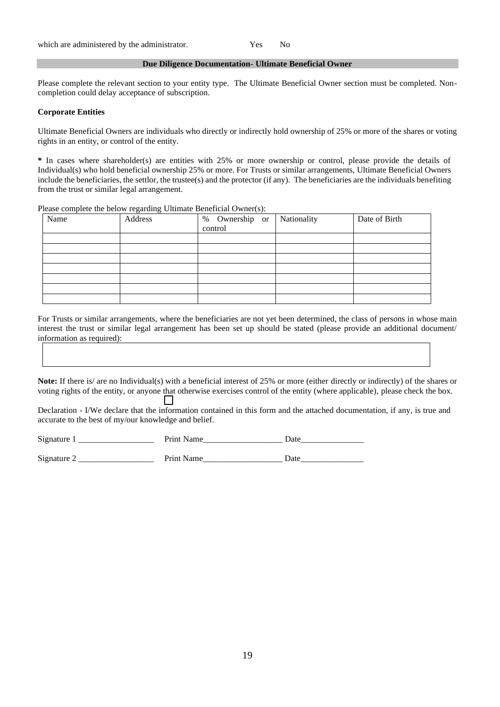### **Due Diligence Documentation- Ultimate Beneficial Owner**

Please complete the relevant section to your entity type. The Ultimate Beneficial Owner section must be completed. Noncompletion could delay acceptance of subscription.

### **Corporate Entities**

Ultimate Beneficial Owners are individuals who directly or indirectly hold ownership of 25% or more of the shares or voting rights in an entity, or control of the entity.

**\*** In cases where shareholder(s) are entities with 25% or more ownership or control, please provide the details of Individual(s) who hold beneficial ownership 25% or more. For Trusts or similar arrangements, Ultimate Beneficial Owners include the beneficiaries, the settlor, the trustee(s) and the protector (if any). The beneficiaries are the individuals benefiting from the trust or similar legal arrangement.

Please complete the below regarding Ultimate Beneficial Owner(s):

| Name | Address | % Ownership or<br>control | Nationality | Date of Birth |
|------|---------|---------------------------|-------------|---------------|
|      |         |                           |             |               |
|      |         |                           |             |               |
|      |         |                           |             |               |
|      |         |                           |             |               |
|      |         |                           |             |               |
|      |         |                           |             |               |
|      |         |                           |             |               |

For Trusts or similar arrangements, where the beneficiaries are not yet been determined, the class of persons in whose main interest the trust or similar legal arrangement has been set up should be stated (please provide an additional document/ information as required):

**Note:** If there is/ are no Individual(s) with a beneficial interest of 25% or more (either directly or indirectly) of the shares or voting rights of the entity, or anyone that otherwise exercises control of the entity (where applicable), please check the box.

Declaration - I/We declare that the information contained in this form and the attached documentation, if any, is true and accurate to the best of my/our knowledge and belief.

| $\sim$<br>51' | -<br>$\sim$ $\sim$ $\sim$ | -- |
|---------------|---------------------------|----|
|               |                           |    |

Signature 2 \_\_\_\_\_\_\_\_\_\_\_\_\_\_\_\_\_\_ Print Name\_\_\_\_\_\_\_\_\_\_\_\_\_\_\_\_\_\_\_ Date\_\_\_\_\_\_\_\_\_\_\_\_\_\_\_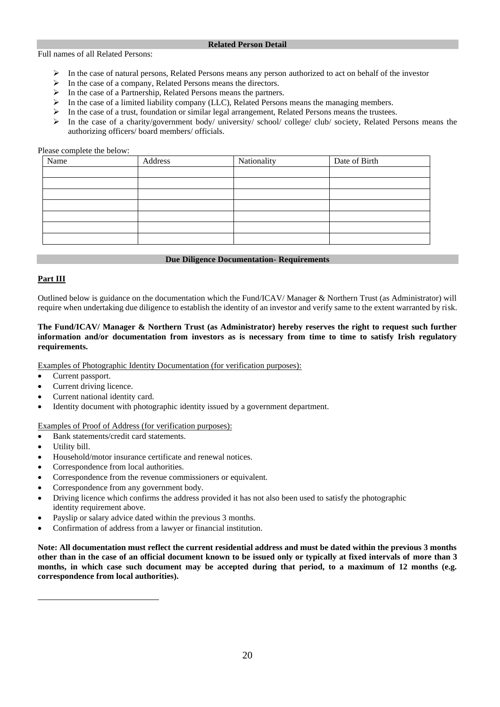### **Related Person Detail**

Full names of all Related Persons:

- ➢ In the case of natural persons, Related Persons means any person authorized to act on behalf of the investor
- ➢ In the case of a company, Related Persons means the directors.
- ➢ In the case of a Partnership, Related Persons means the partners.
- $\triangleright$  In the case of a limited liability company (LLC), Related Persons means the managing members.
- In the case of a trust, foundation or similar legal arrangement, Related Persons means the trustees.
- $\triangleright$  In the case of a charity/government body/ university/ school/ college/ club/ society, Related Persons means the authorizing officers/ board members/ officials.

# Please complete the below:

| Name | Address | Nationality | Date of Birth |
|------|---------|-------------|---------------|
|      |         |             |               |
|      |         |             |               |
|      |         |             |               |
|      |         |             |               |
|      |         |             |               |
|      |         |             |               |
|      |         |             |               |

### **Due Diligence Documentation- Requirements**

# **Part III**

Outlined below is guidance on the documentation which the Fund/ICAV/ Manager & Northern Trust (as Administrator) will require when undertaking due diligence to establish the identity of an investor and verify same to the extent warranted by risk.

# **The Fund/ICAV/ Manager & Northern Trust (as Administrator) hereby reserves the right to request such further information and/or documentation from investors as is necessary from time to time to satisfy Irish regulatory requirements.**

Examples of Photographic Identity Documentation (for verification purposes):

- Current passport.
- Current driving licence.
- Current national identity card.
- Identity document with photographic identity issued by a government department.

# Examples of Proof of Address (for verification purposes):

- Bank statements/credit card statements.
- Utility bill.
- Household/motor insurance certificate and renewal notices.
- Correspondence from local authorities.
- Correspondence from the revenue commissioners or equivalent.
- Correspondence from any government body.
- Driving licence which confirms the address provided it has not also been used to satisfy the photographic identity requirement above.
- Payslip or salary advice dated within the previous 3 months.
- Confirmation of address from a lawyer or financial institution.

**Note: All documentation must reflect the current residential address and must be dated within the previous 3 months other than in the case of an official document known to be issued only or typically at fixed intervals of more than 3**  months, in which case such document may be accepted during that period, to a maximum of 12 months (e.g. **correspondence from local authorities).**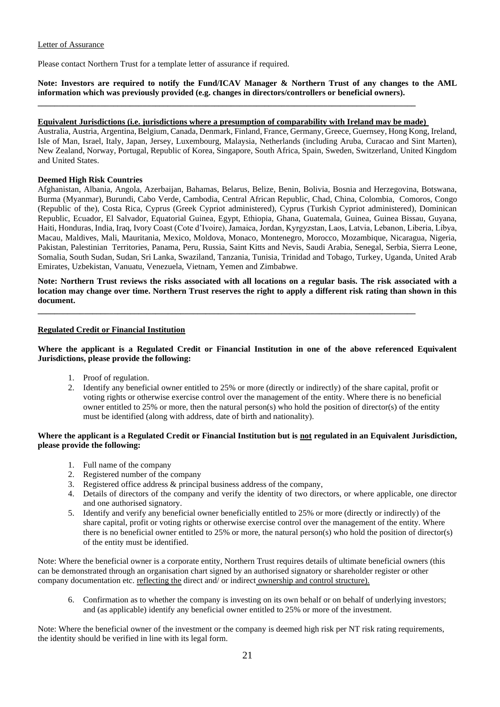### Letter of Assurance

Please contact Northern Trust for a template letter of assurance if required.

**Note: Investors are required to notify the Fund/ICAV Manager & Northern Trust of any changes to the AML information which was previously provided (e.g. changes in directors/controllers or beneficial owners).**

# **Equivalent Jurisdictions (i.e. jurisdictions where a presumption of comparability with Ireland may be made)**

**\_\_\_\_\_\_\_\_\_\_\_\_\_\_\_\_\_\_\_\_\_\_\_\_\_\_\_\_\_\_\_\_\_\_\_\_\_\_\_\_\_\_\_\_\_\_\_\_\_\_\_\_\_\_\_\_\_\_\_\_\_\_\_\_\_\_\_\_\_\_\_\_\_\_\_\_\_\_\_\_\_\_\_\_\_\_\_\_\_\_**

Australia, Austria, Argentina, Belgium, Canada, Denmark, Finland, France, Germany, Greece, Guernsey, Hong Kong, Ireland, Isle of Man, Israel, Italy, Japan, Jersey, Luxembourg, Malaysia, Netherlands (including Aruba, Curacao and Sint Marten), New Zealand, Norway, Portugal, Republic of Korea, Singapore, South Africa, Spain, Sweden, Switzerland, United Kingdom and United States.

# **Deemed High Risk Countries**

Afghanistan, Albania, Angola, Azerbaijan, Bahamas, Belarus, Belize, Benin, Bolivia, Bosnia and Herzegovina, Botswana, Burma (Myanmar), Burundi, Cabo Verde, Cambodia, Central African Republic, Chad, China, Colombia, Comoros, Congo (Republic of the), Costa Rica, Cyprus (Greek Cypriot administered), Cyprus (Turkish Cypriot administered), Dominican Republic, Ecuador, El Salvador, Equatorial Guinea, Egypt, Ethiopia, Ghana, Guatemala, Guinea, Guinea Bissau, Guyana, Haiti, Honduras, India, Iraq, Ivory Coast (Cote d'Ivoire), Jamaica, Jordan, Kyrgyzstan, Laos, Latvia, Lebanon, Liberia, Libya, Macau, Maldives, Mali, Mauritania, Mexico, Moldova, Monaco, Montenegro, Morocco, Mozambique, Nicaragua, Nigeria, Pakistan, Palestinian Territories, Panama, Peru, Russia, Saint Kitts and Nevis, Saudi Arabia, Senegal, Serbia, Sierra Leone, Somalia, South Sudan, Sudan, Sri Lanka, Swaziland, Tanzania, Tunisia, Trinidad and Tobago, Turkey, Uganda, United Arab Emirates, Uzbekistan, Vanuatu, Venezuela, Vietnam, Yemen and Zimbabwe.

**Note: Northern Trust reviews the risks associated with all locations on a regular basis. The risk associated with a location may change over time. Northern Trust reserves the right to apply a different risk rating than shown in this document.** 

**\_\_\_\_\_\_\_\_\_\_\_\_\_\_\_\_\_\_\_\_\_\_\_\_\_\_\_\_\_\_\_\_\_\_\_\_\_\_\_\_\_\_\_\_\_\_\_\_\_\_\_\_\_\_\_\_\_\_\_\_\_\_\_\_\_\_\_\_\_\_\_\_\_\_\_\_\_\_\_\_\_\_\_\_\_\_\_\_\_\_**

# **Regulated Credit or Financial Institution**

# **Where the applicant is a Regulated Credit or Financial Institution in one of the above referenced Equivalent Jurisdictions, please provide the following:**

- 1. Proof of regulation.
- 2. Identify any beneficial owner entitled to 25% or more (directly or indirectly) of the share capital, profit or voting rights or otherwise exercise control over the management of the entity. Where there is no beneficial owner entitled to 25% or more, then the natural person(s) who hold the position of director(s) of the entity must be identified (along with address, date of birth and nationality).

# **Where the applicant is a Regulated Credit or Financial Institution but is not regulated in an Equivalent Jurisdiction, please provide the following:**

- 1. Full name of the company
- 2. Registered number of the company
- 3. Registered office address & principal business address of the company,
- 4. Details of directors of the company and verify the identity of two directors, or where applicable, one director and one authorised signatory.
- 5. Identify and verify any beneficial owner beneficially entitled to 25% or more (directly or indirectly) of the share capital, profit or voting rights or otherwise exercise control over the management of the entity. Where there is no beneficial owner entitled to 25% or more, the natural person(s) who hold the position of director(s) of the entity must be identified.

Note: Where the beneficial owner is a corporate entity, Northern Trust requires details of ultimate beneficial owners (this can be demonstrated through an organisation chart signed by an authorised signatory or shareholder register or other company documentation etc. reflecting the direct and/ or indirect ownership and control structure).

6. Confirmation as to whether the company is investing on its own behalf or on behalf of underlying investors; and (as applicable) identify any beneficial owner entitled to 25% or more of the investment.

Note: Where the beneficial owner of the investment or the company is deemed high risk per NT risk rating requirements, the identity should be verified in line with its legal form.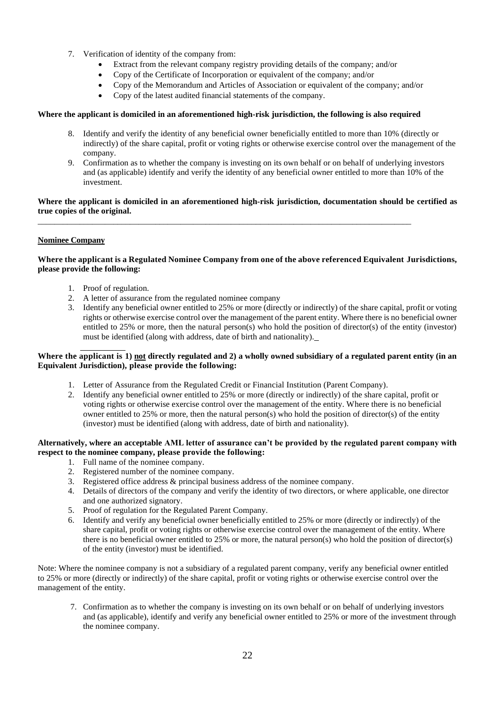- 7. Verification of identity of the company from:
	- Extract from the relevant company registry providing details of the company; and/or
	- Copy of the Certificate of Incorporation or equivalent of the company; and/or
	- Copy of the Memorandum and Articles of Association or equivalent of the company; and/or
	- Copy of the latest audited financial statements of the company.

# **Where the applicant is domiciled in an aforementioned high-risk jurisdiction, the following is also required**

- 8. Identify and verify the identity of any beneficial owner beneficially entitled to more than 10% (directly or indirectly) of the share capital, profit or voting rights or otherwise exercise control over the management of the company.
- 9. Confirmation as to whether the company is investing on its own behalf or on behalf of underlying investors and (as applicable) identify and verify the identity of any beneficial owner entitled to more than 10% of the investment.

# **Where the applicant is domiciled in an aforementioned high-risk jurisdiction, documentation should be certified as true copies of the original.**

\_\_\_\_\_\_\_\_\_\_\_\_\_\_\_\_\_\_\_\_\_\_\_\_\_\_\_\_\_\_\_\_\_\_\_\_\_\_\_\_\_\_\_\_\_\_\_\_\_\_\_\_\_\_\_\_\_\_\_\_\_\_\_\_\_\_\_\_\_\_\_\_\_\_\_\_\_\_\_\_\_\_\_\_\_\_\_\_\_

# **Nominee Company**

# **Where the applicant is a Regulated Nominee Company from one of the above referenced Equivalent Jurisdictions, please provide the following:**

- 1. Proof of regulation.
- 2. A letter of assurance from the regulated nominee company
- 3. Identify any beneficial owner entitled to 25% or more (directly or indirectly) of the share capital, profit or voting rights or otherwise exercise control over the management of the parent entity. Where there is no beneficial owner entitled to 25% or more, then the natural person(s) who hold the position of director(s) of the entity (investor) must be identified (along with address, date of birth and nationality).

### $\overline{a}$ **Where the applicant is 1) not directly regulated and 2) a wholly owned subsidiary of a regulated parent entity (in an Equivalent Jurisdiction), please provide the following:**

- 1. Letter of Assurance from the Regulated Credit or Financial Institution (Parent Company).
- 2. Identify any beneficial owner entitled to 25% or more (directly or indirectly) of the share capital, profit or voting rights or otherwise exercise control over the management of the entity. Where there is no beneficial owner entitled to 25% or more, then the natural person(s) who hold the position of director(s) of the entity (investor) must be identified (along with address, date of birth and nationality).

# **Alternatively, where an acceptable AML letter of assurance can't be provided by the regulated parent company with respect to the nominee company, please provide the following:**

- 1. Full name of the nominee company.
- 2. Registered number of the nominee company.
- 3. Registered office address & principal business address of the nominee company.
- 4. Details of directors of the company and verify the identity of two directors, or where applicable, one director and one authorized signatory.
- 5. Proof of regulation for the Regulated Parent Company.
- 6. Identify and verify any beneficial owner beneficially entitled to 25% or more (directly or indirectly) of the share capital, profit or voting rights or otherwise exercise control over the management of the entity. Where there is no beneficial owner entitled to 25% or more, the natural person(s) who hold the position of director(s) of the entity (investor) must be identified.

Note: Where the nominee company is not a subsidiary of a regulated parent company, verify any beneficial owner entitled to 25% or more (directly or indirectly) of the share capital, profit or voting rights or otherwise exercise control over the management of the entity.

7. Confirmation as to whether the company is investing on its own behalf or on behalf of underlying investors and (as applicable), identify and verify any beneficial owner entitled to 25% or more of the investment through the nominee company.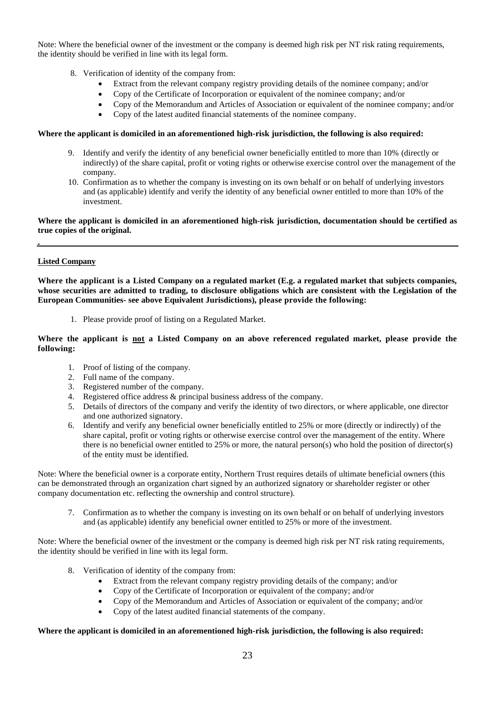Note: Where the beneficial owner of the investment or the company is deemed high risk per NT risk rating requirements, the identity should be verified in line with its legal form.

- 8. Verification of identity of the company from:
	- Extract from the relevant company registry providing details of the nominee company; and/or
	- Copy of the Certificate of Incorporation or equivalent of the nominee company; and/or
	- Copy of the Memorandum and Articles of Association or equivalent of the nominee company; and/or
	- Copy of the latest audited financial statements of the nominee company.

### **Where the applicant is domiciled in an aforementioned high-risk jurisdiction, the following is also required:**

- 9. Identify and verify the identity of any beneficial owner beneficially entitled to more than 10% (directly or indirectly) of the share capital, profit or voting rights or otherwise exercise control over the management of the company.
- 10. Confirmation as to whether the company is investing on its own behalf or on behalf of underlying investors and (as applicable) identify and verify the identity of any beneficial owner entitled to more than 10% of the investment.

# **Where the applicant is domiciled in an aforementioned high-risk jurisdiction, documentation should be certified as true copies of the original.**

# **Listed Company**

**Where the applicant is a Listed Company on a regulated market (E.g. a regulated market that subjects companies, whose securities are admitted to trading, to disclosure obligations which are consistent with the Legislation of the European Communities- see above Equivalent Jurisdictions), please provide the following:**

1. Please provide proof of listing on a Regulated Market.

**Where the applicant is not a Listed Company on an above referenced regulated market, please provide the following:**

- 1. Proof of listing of the company.
- 2. Full name of the company.
- 3. Registered number of the company.
- 4. Registered office address & principal business address of the company.
- 5. Details of directors of the company and verify the identity of two directors, or where applicable, one director and one authorized signatory.
- 6. Identify and verify any beneficial owner beneficially entitled to 25% or more (directly or indirectly) of the share capital, profit or voting rights or otherwise exercise control over the management of the entity. Where there is no beneficial owner entitled to 25% or more, the natural person(s) who hold the position of director(s) of the entity must be identified.

Note: Where the beneficial owner is a corporate entity, Northern Trust requires details of ultimate beneficial owners (this can be demonstrated through an organization chart signed by an authorized signatory or shareholder register or other company documentation etc. reflecting the ownership and control structure).

7. Confirmation as to whether the company is investing on its own behalf or on behalf of underlying investors and (as applicable) identify any beneficial owner entitled to 25% or more of the investment.

Note: Where the beneficial owner of the investment or the company is deemed high risk per NT risk rating requirements, the identity should be verified in line with its legal form.

- 8. Verification of identity of the company from:
	- Extract from the relevant company registry providing details of the company; and/or
	- Copy of the Certificate of Incorporation or equivalent of the company; and/or
	- Copy of the Memorandum and Articles of Association or equivalent of the company; and/or
	- Copy of the latest audited financial statements of the company.

# **Where the applicant is domiciled in an aforementioned high-risk jurisdiction, the following is also required:**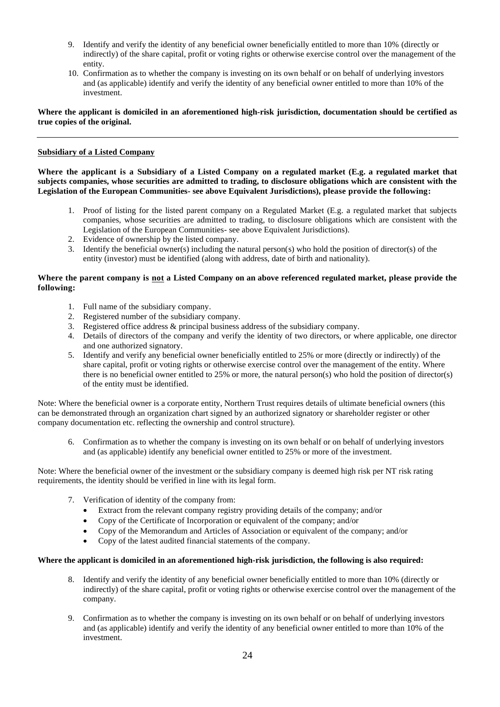- 9. Identify and verify the identity of any beneficial owner beneficially entitled to more than 10% (directly or indirectly) of the share capital, profit or voting rights or otherwise exercise control over the management of the entity.
- 10. Confirmation as to whether the company is investing on its own behalf or on behalf of underlying investors and (as applicable) identify and verify the identity of any beneficial owner entitled to more than 10% of the investment.

**Where the applicant is domiciled in an aforementioned high-risk jurisdiction, documentation should be certified as true copies of the original.**

# **Subsidiary of a Listed Company**

**Where the applicant is a Subsidiary of a Listed Company on a regulated market (E.g. a regulated market that subjects companies, whose securities are admitted to trading, to disclosure obligations which are consistent with the Legislation of the European Communities- see above Equivalent Jurisdictions), please provide the following:**

- 1. Proof of listing for the listed parent company on a Regulated Market (E.g. a regulated market that subjects companies, whose securities are admitted to trading, to disclosure obligations which are consistent with the Legislation of the European Communities- see above Equivalent Jurisdictions).
- 2. Evidence of ownership by the listed company.
- 3. Identify the beneficial owner(s) including the natural person(s) who hold the position of director(s) of the entity (investor) must be identified (along with address, date of birth and nationality).

# **Where the parent company is not a Listed Company on an above referenced regulated market, please provide the following:**

- 1. Full name of the subsidiary company.
- 2. Registered number of the subsidiary company.
- 3. Registered office address & principal business address of the subsidiary company.
- 4. Details of directors of the company and verify the identity of two directors, or where applicable, one director and one authorized signatory.
- 5. Identify and verify any beneficial owner beneficially entitled to 25% or more (directly or indirectly) of the share capital, profit or voting rights or otherwise exercise control over the management of the entity. Where there is no beneficial owner entitled to 25% or more, the natural person(s) who hold the position of director(s) of the entity must be identified.

Note: Where the beneficial owner is a corporate entity, Northern Trust requires details of ultimate beneficial owners (this can be demonstrated through an organization chart signed by an authorized signatory or shareholder register or other company documentation etc. reflecting the ownership and control structure).

6. Confirmation as to whether the company is investing on its own behalf or on behalf of underlying investors and (as applicable) identify any beneficial owner entitled to 25% or more of the investment.

Note: Where the beneficial owner of the investment or the subsidiary company is deemed high risk per NT risk rating requirements, the identity should be verified in line with its legal form.

- 7. Verification of identity of the company from:
	- Extract from the relevant company registry providing details of the company; and/or
	- Copy of the Certificate of Incorporation or equivalent of the company; and/or
	- Copy of the Memorandum and Articles of Association or equivalent of the company; and/or
	- Copy of the latest audited financial statements of the company.

# **Where the applicant is domiciled in an aforementioned high-risk jurisdiction, the following is also required:**

- 8. Identify and verify the identity of any beneficial owner beneficially entitled to more than 10% (directly or indirectly) of the share capital, profit or voting rights or otherwise exercise control over the management of the company.
- 9. Confirmation as to whether the company is investing on its own behalf or on behalf of underlying investors and (as applicable) identify and verify the identity of any beneficial owner entitled to more than 10% of the investment.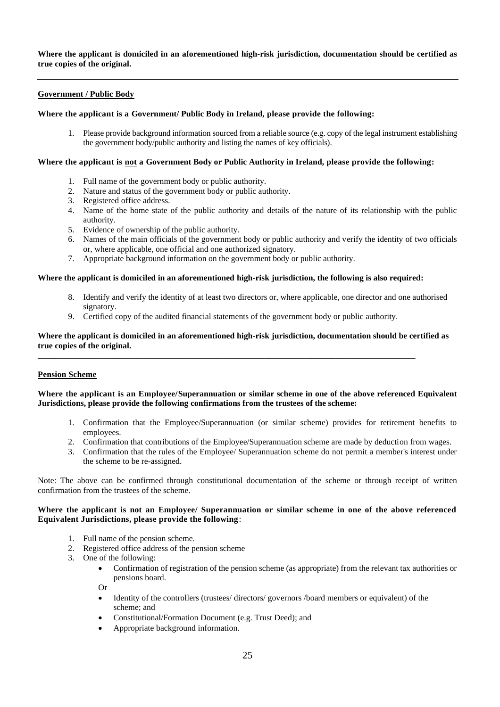**Where the applicant is domiciled in an aforementioned high-risk jurisdiction, documentation should be certified as true copies of the original.**

# **Government / Public Body**

### **Where the applicant is a Government/ Public Body in Ireland, please provide the following:**

1. Please provide background information sourced from a reliable source (e.g. copy of the legal instrument establishing the government body/public authority and listing the names of key officials).

### **Where the applicant is not a Government Body or Public Authority in Ireland, please provide the following:**

- 1. Full name of the government body or public authority.
- 2. Nature and status of the government body or public authority.
- 3. Registered office address.
- 4. Name of the home state of the public authority and details of the nature of its relationship with the public authority.
- 5. Evidence of ownership of the public authority.
- 6. Names of the main officials of the government body or public authority and verify the identity of two officials or, where applicable, one official and one authorized signatory.
- 7. Appropriate background information on the government body or public authority.

#### **Where the applicant is domiciled in an aforementioned high-risk jurisdiction, the following is also required:**

- 8. Identify and verify the identity of at least two directors or, where applicable, one director and one authorised signatory.
- 9. Certified copy of the audited financial statements of the government body or public authority.

**\_\_\_\_\_\_\_\_\_\_\_\_\_\_\_\_\_\_\_\_\_\_\_\_\_\_\_\_\_\_\_\_\_\_\_\_\_\_\_\_\_\_\_\_\_\_\_\_\_\_\_\_\_\_\_\_\_\_\_\_\_\_\_\_\_\_\_\_\_\_\_\_\_\_\_\_\_\_\_\_\_\_\_\_\_\_\_\_\_\_**

### **Where the applicant is domiciled in an aforementioned high-risk jurisdiction, documentation should be certified as true copies of the original.**

# **Pension Scheme**

# **Where the applicant is an Employee/Superannuation or similar scheme in one of the above referenced Equivalent Jurisdictions, please provide the following confirmations from the trustees of the scheme:**

- 1. Confirmation that the Employee/Superannuation (or similar scheme) provides for retirement benefits to employees.
- 2. Confirmation that contributions of the Employee/Superannuation scheme are made by deduction from wages.
- 3. Confirmation that the rules of the Employee/ Superannuation scheme do not permit a member's interest under the scheme to be re-assigned.

Note: The above can be confirmed through constitutional documentation of the scheme or through receipt of written confirmation from the trustees of the scheme.

### **Where the applicant is not an Employee/ Superannuation or similar scheme in one of the above referenced Equivalent Jurisdictions, please provide the following**:

- 1. Full name of the pension scheme.
- 2. Registered office address of the pension scheme
- 3. One of the following:
	- Confirmation of registration of the pension scheme (as appropriate) from the relevant tax authorities or pensions board.

Or

- Identity of the controllers (trustees/ directors/ governors /board members or equivalent) of the scheme; and
- Constitutional/Formation Document (e.g. Trust Deed); and
- Appropriate background information.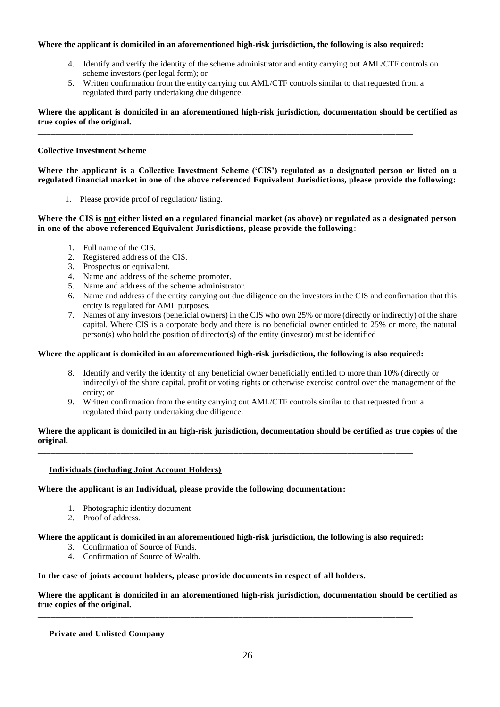# **Where the applicant is domiciled in an aforementioned high-risk jurisdiction, the following is also required:**

**\_\_\_\_\_\_\_\_\_\_\_\_\_\_\_\_\_\_\_\_\_\_\_\_\_\_\_\_\_\_\_\_\_\_\_\_\_\_\_\_\_\_\_\_\_\_\_\_\_\_\_\_\_\_\_\_\_\_\_\_\_\_\_\_\_\_\_\_\_\_\_\_\_\_\_\_\_\_\_\_\_\_\_\_\_\_**

- 4. Identify and verify the identity of the scheme administrator and entity carrying out AML/CTF controls on scheme investors (per legal form); or
- 5. Written confirmation from the entity carrying out AML/CTF controls similar to that requested from a regulated third party undertaking due diligence.

**Where the applicant is domiciled in an aforementioned high-risk jurisdiction, documentation should be certified as true copies of the original.**

# **Collective Investment Scheme**

**Where the applicant is a Collective Investment Scheme ('CIS') regulated as a designated person or listed on a regulated financial market in one of the above referenced Equivalent Jurisdictions, please provide the following:**

1. Please provide proof of regulation/ listing.

**Where the CIS is not either listed on a regulated financial market (as above) or regulated as a designated person in one of the above referenced Equivalent Jurisdictions, please provide the following** :

- 1. Full name of the CIS.
- 2. Registered address of the CIS.
- 3. Prospectus or equivalent.
- 4. Name and address of the scheme promoter.
- 5. Name and address of the scheme administrator.
- 6. Name and address of the entity carrying out due diligence on the investors in the CIS and confirmation that this entity is regulated for AML purposes.
- 7. Names of any investors (beneficial owners) in the CIS who own 25% or more (directly or indirectly) of the share capital. Where CIS is a corporate body and there is no beneficial owner entitled to 25% or more, the natural  $person(s)$  who hold the position of director(s) of the entity (investor) must be identified

# **Where the applicant is domiciled in an aforementioned high-risk jurisdiction, the following is also required:**

- 8. Identify and verify the identity of any beneficial owner beneficially entitled to more than 10% (directly or indirectly) of the share capital, profit or voting rights or otherwise exercise control over the management of the entity; or
- 9. Written confirmation from the entity carrying out AML/CTF controls similar to that requested from a regulated third party undertaking due diligence.

# **Where the applicant is domiciled in an high-risk jurisdiction, documentation should be certified as true copies of the original.**

# **Individuals (including Joint Account Holders)**

# **Where the applicant is an Individual, please provide the following documentation:**

- 1. Photographic identity document.
- 2. Proof of address.

# **Where the applicant is domiciled in an aforementioned high-risk jurisdiction, the following is also required:**

**\_\_\_\_\_\_\_\_\_\_\_\_\_\_\_\_\_\_\_\_\_\_\_\_\_\_\_\_\_\_\_\_\_\_\_\_\_\_\_\_\_\_\_\_\_\_\_\_\_\_\_\_\_\_\_\_\_\_\_\_\_\_\_\_\_\_\_\_\_\_\_\_\_\_\_\_\_\_\_\_\_\_\_\_\_\_**

**\_\_\_\_\_\_\_\_\_\_\_\_\_\_\_\_\_\_\_\_\_\_\_\_\_\_\_\_\_\_\_\_\_\_\_\_\_\_\_\_\_\_\_\_\_\_\_\_\_\_\_\_\_\_\_\_\_\_\_\_\_\_\_\_\_\_\_\_\_\_\_\_\_\_\_\_\_\_\_\_\_\_\_\_\_\_**

- 3. Confirmation of Source of Funds.
- 4. Confirmation of Source of Wealth.

# **In the case of joints account holders, please provide documents in respect of all holders.**

**Where the applicant is domiciled in an aforementioned high-risk jurisdiction, documentation should be certified as true copies of the original.**

# **Private and Unlisted Company**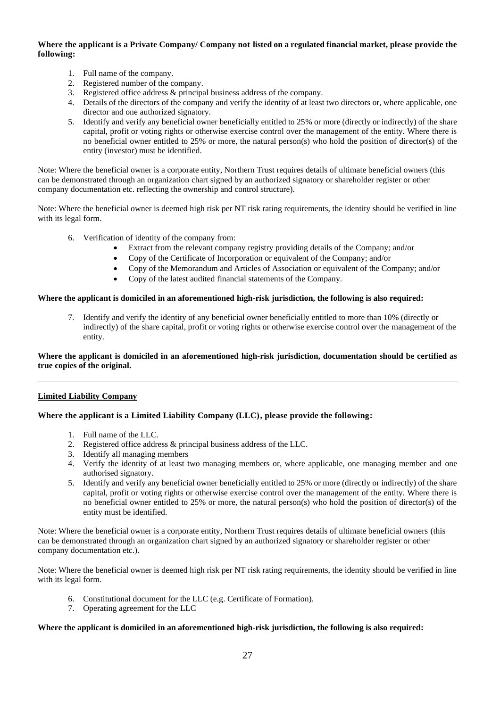# **Where the applicant is a Private Company/ Company not listed on a regulated financial market, please provide the following:**

- 1. Full name of the company.
- 2. Registered number of the company.
- 3. Registered office address & principal business address of the company.
- 4. Details of the directors of the company and verify the identity of at least two directors or, where applicable, one director and one authorized signatory.
- 5. Identify and verify any beneficial owner beneficially entitled to 25% or more (directly or indirectly) of the share capital, profit or voting rights or otherwise exercise control over the management of the entity. Where there is no beneficial owner entitled to 25% or more, the natural person(s) who hold the position of director(s) of the entity (investor) must be identified.

Note: Where the beneficial owner is a corporate entity, Northern Trust requires details of ultimate beneficial owners (this can be demonstrated through an organization chart signed by an authorized signatory or shareholder register or other company documentation etc. reflecting the ownership and control structure).

Note: Where the beneficial owner is deemed high risk per NT risk rating requirements, the identity should be verified in line with its legal form.

- 6. Verification of identity of the company from:
	- Extract from the relevant company registry providing details of the Company; and/or
	- Copy of the Certificate of Incorporation or equivalent of the Company; and/or
	- Copy of the Memorandum and Articles of Association or equivalent of the Company; and/or
	- Copy of the latest audited financial statements of the Company.

### **Where the applicant is domiciled in an aforementioned high-risk jurisdiction, the following is also required:**

7. Identify and verify the identity of any beneficial owner beneficially entitled to more than 10% (directly or indirectly) of the share capital, profit or voting rights or otherwise exercise control over the management of the entity.

# **Where the applicant is domiciled in an aforementioned high-risk jurisdiction, documentation should be certified as true copies of the original.**

# **Limited Liability Company**

# **Where the applicant is a Limited Liability Company (LLC), please provide the following:**

- 1. Full name of the LLC.
- 2. Registered office address & principal business address of the LLC.
- 3. Identify all managing members
- 4. Verify the identity of at least two managing members or, where applicable, one managing member and one authorised signatory.
- 5. Identify and verify any beneficial owner beneficially entitled to 25% or more (directly or indirectly) of the share capital, profit or voting rights or otherwise exercise control over the management of the entity. Where there is no beneficial owner entitled to 25% or more, the natural person(s) who hold the position of director(s) of the entity must be identified.

Note: Where the beneficial owner is a corporate entity, Northern Trust requires details of ultimate beneficial owners (this can be demonstrated through an organization chart signed by an authorized signatory or shareholder register or other company documentation etc.).

Note: Where the beneficial owner is deemed high risk per NT risk rating requirements, the identity should be verified in line with its legal form.

- 6. Constitutional document for the LLC (e.g. Certificate of Formation).
- 7. Operating agreement for the LLC

### **Where the applicant is domiciled in an aforementioned high-risk jurisdiction, the following is also required:**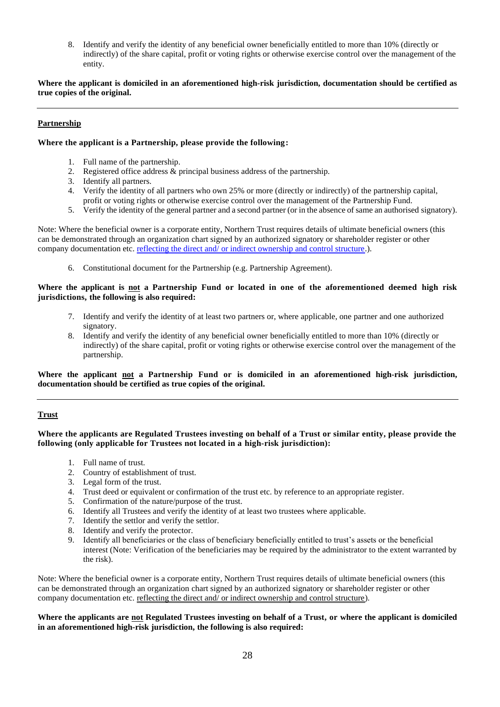8. Identify and verify the identity of any beneficial owner beneficially entitled to more than 10% (directly or indirectly) of the share capital, profit or voting rights or otherwise exercise control over the management of the entity.

# **Where the applicant is domiciled in an aforementioned high-risk jurisdiction, documentation should be certified as true copies of the original.**

# **Partnership**

# **Where the applicant is a Partnership, please provide the following:**

- 1. Full name of the partnership.
- 2. Registered office address & principal business address of the partnership.
- 3. Identify all partners.
- 4. Verify the identity of all partners who own 25% or more (directly or indirectly) of the partnership capital, profit or voting rights or otherwise exercise control over the management of the Partnership Fund.
- 5. Verify the identity of the general partner and a second partner (or in the absence of same an authorised signatory).

Note: Where the beneficial owner is a corporate entity, Northern Trust requires details of ultimate beneficial owners (this can be demonstrated through an organization chart signed by an authorized signatory or shareholder register or other company documentation etc. reflecting the direct and/ or indirect ownership and control structure.).

6. Constitutional document for the Partnership (e.g. Partnership Agreement).

# **Where the applicant is not a Partnership Fund or located in one of the aforementioned deemed high risk jurisdictions, the following is also required:**

- 7. Identify and verify the identity of at least two partners or, where applicable, one partner and one authorized signatory.
- 8. Identify and verify the identity of any beneficial owner beneficially entitled to more than 10% (directly or indirectly) of the share capital, profit or voting rights or otherwise exercise control over the management of the partnership.

# **Where the applicant not a Partnership Fund or is domiciled in an aforementioned high-risk jurisdiction, documentation should be certified as true copies of the original.**

# **Trust**

# **Where the applicants are Regulated Trustees investing on behalf of a Trust or similar entity, please provide the following (only applicable for Trustees not located in a high-risk jurisdiction):**

- 1. Full name of trust.
- 2. Country of establishment of trust.
- 3. Legal form of the trust.
- 4. Trust deed or equivalent or confirmation of the trust etc. by reference to an appropriate register.
- 5. Confirmation of the nature/purpose of the trust.
- 6. Identify all Trustees and verify the identity of at least two trustees where applicable.
- 7. Identify the settlor and verify the settlor.
- 8. Identify and verify the protector.
- 9. Identify all beneficiaries or the class of beneficiary beneficially entitled to trust's assets or the beneficial interest (Note: Verification of the beneficiaries may be required by the administrator to the extent warranted by the risk).

Note: Where the beneficial owner is a corporate entity, Northern Trust requires details of ultimate beneficial owners (this can be demonstrated through an organization chart signed by an authorized signatory or shareholder register or other company documentation etc. reflecting the direct and/ or indirect ownership and control structure).

# **Where the applicants are not Regulated Trustees investing on behalf of a Trust, or where the applicant is domiciled in an aforementioned high-risk jurisdiction, the following is also required:**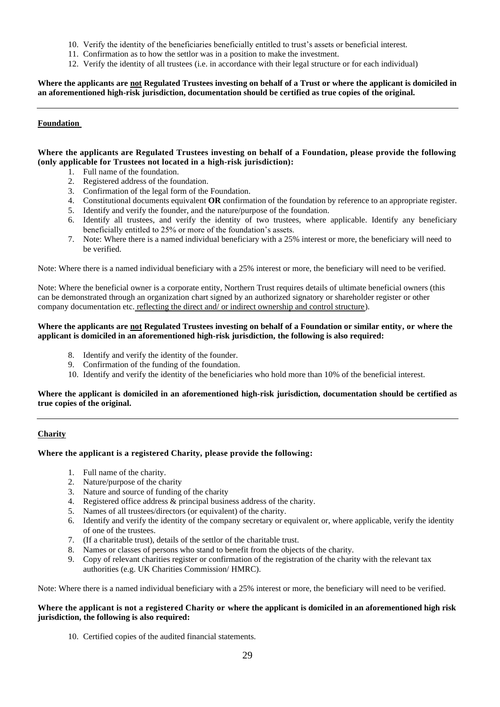- 10. Verify the identity of the beneficiaries beneficially entitled to trust's assets or beneficial interest.
- 11. Confirmation as to how the settlor was in a position to make the investment.
- 12. Verify the identity of all trustees (i.e. in accordance with their legal structure or for each individual)

**Where the applicants are not Regulated Trustees investing on behalf of a Trust or where the applicant is domiciled in an aforementioned high-risk jurisdiction, documentation should be certified as true copies of the original.**

# **Foundation**

# **Where the applicants are Regulated Trustees investing on behalf of a Foundation, please provide the following (only applicable for Trustees not located in a high-risk jurisdiction):**

- 1. Full name of the foundation.
- 2. Registered address of the foundation.
- 3. Confirmation of the legal form of the Foundation.
- 4. Constitutional documents equivalent **OR** confirmation of the foundation by reference to an appropriate register.
- 5. Identify and verify the founder, and the nature/purpose of the foundation.
- 6. Identify all trustees, and verify the identity of two trustees, where applicable. Identify any beneficiary beneficially entitled to 25% or more of the foundation's assets.
- 7. Note: Where there is a named individual beneficiary with a 25% interest or more, the beneficiary will need to be verified.

Note: Where there is a named individual beneficiary with a 25% interest or more, the beneficiary will need to be verified.

Note: Where the beneficial owner is a corporate entity, Northern Trust requires details of ultimate beneficial owners (this can be demonstrated through an organization chart signed by an authorized signatory or shareholder register or other company documentation etc. reflecting the direct and/ or indirect ownership and control structure).

### **Where the applicants are not Regulated Trustees investing on behalf of a Foundation or similar entity, or where the applicant is domiciled in an aforementioned high-risk jurisdiction, the following is also required:**

- 8. Identify and verify the identity of the founder.
- 9. Confirmation of the funding of the foundation.
- 10. Identify and verify the identity of the beneficiaries who hold more than 10% of the beneficial interest.

# **Where the applicant is domiciled in an aforementioned high-risk jurisdiction, documentation should be certified as true copies of the original.**

# **Charity**

# **Where the applicant is a registered Charity, please provide the following:**

- 1. Full name of the charity.
- 2. Nature/purpose of the charity
- 3. Nature and source of funding of the charity
- 4. Registered office address & principal business address of the charity.
- 5. Names of all trustees/directors (or equivalent) of the charity.
- 6. Identify and verify the identity of the company secretary or equivalent or, where applicable, verify the identity of one of the trustees.
- 7. (If a charitable trust), details of the settlor of the charitable trust.
- 8. Names or classes of persons who stand to benefit from the objects of the charity.
- 9. Copy of relevant charities register or confirmation of the registration of the charity with the relevant tax authorities (e.g. UK Charities Commission/ HMRC).

Note: Where there is a named individual beneficiary with a 25% interest or more, the beneficiary will need to be verified.

# **Where the applicant is not a registered Charity or where the applicant is domiciled in an aforementioned high risk jurisdiction, the following is also required:**

10. Certified copies of the audited financial statements.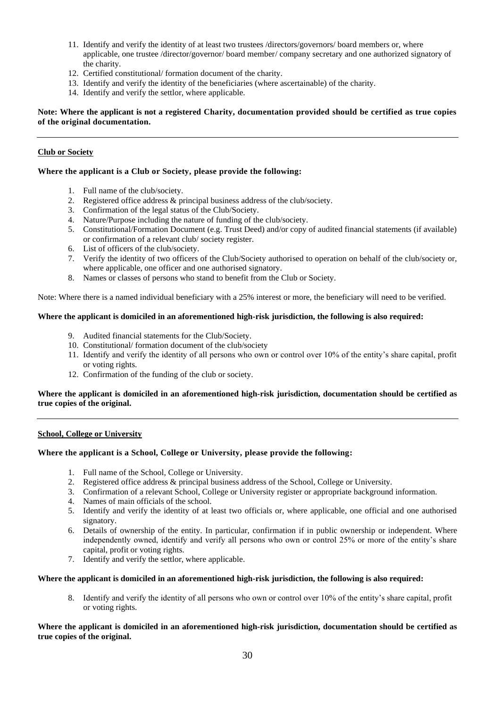- 11. Identify and verify the identity of at least two trustees /directors/governors/ board members or, where applicable, one trustee /director/governor/ board member/ company secretary and one authorized signatory of the charity.
- 12. Certified constitutional/ formation document of the charity.
- 13. Identify and verify the identity of the beneficiaries (where ascertainable) of the charity.
- 14. Identify and verify the settlor, where applicable.

**Note: Where the applicant is not a registered Charity, documentation provided should be certified as true copies of the original documentation.**

# **Club or Society**

# **Where the applicant is a Club or Society, please provide the following:**

- 1. Full name of the club/society.
- 2. Registered office address & principal business address of the club/society.
- 3. Confirmation of the legal status of the Club/Society.
- 4. Nature/Purpose including the nature of funding of the club/society.
- 5. Constitutional/Formation Document (e.g. Trust Deed) and/or copy of audited financial statements (if available) or confirmation of a relevant club/ society register.
- 6. List of officers of the club/society.
- 7. Verify the identity of two officers of the Club/Society authorised to operation on behalf of the club/society or, where applicable, one officer and one authorised signatory.
- 8. Names or classes of persons who stand to benefit from the Club or Society.

Note: Where there is a named individual beneficiary with a 25% interest or more, the beneficiary will need to be verified.

# **Where the applicant is domiciled in an aforementioned high-risk jurisdiction, the following is also required:**

- 9. Audited financial statements for the Club/Society.
- 10. Constitutional/ formation document of the club/society
- 11. Identify and verify the identity of all persons who own or control over 10% of the entity's share capital, profit or voting rights.
- 12. Confirmation of the funding of the club or society.

# **Where the applicant is domiciled in an aforementioned high-risk jurisdiction, documentation should be certified as true copies of the original.**

# **School, College or University**

# **Where the applicant is a School, College or University, please provide the following:**

- 1. Full name of the School, College or University.
- 2. Registered office address & principal business address of the School, College or University.
- 3. Confirmation of a relevant School, College or University register or appropriate background information.
- 4. Names of main officials of the school.
- 5. Identify and verify the identity of at least two officials or, where applicable, one official and one authorised signatory.
- 6. Details of ownership of the entity. In particular, confirmation if in public ownership or independent. Where independently owned, identify and verify all persons who own or control 25% or more of the entity's share capital, profit or voting rights.
- 7. Identify and verify the settlor, where applicable.

# **Where the applicant is domiciled in an aforementioned high-risk jurisdiction, the following is also required:**

8. Identify and verify the identity of all persons who own or control over 10% of the entity's share capital, profit or voting rights.

# **Where the applicant is domiciled in an aforementioned high-risk jurisdiction, documentation should be certified as true copies of the original.**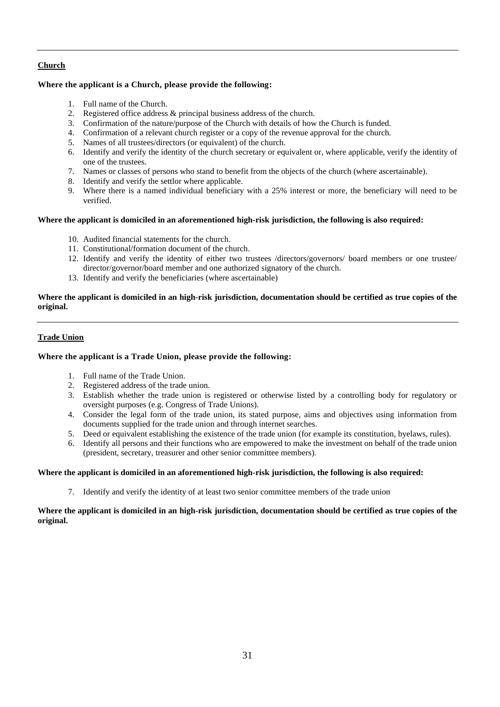# **Church**

# **Where the applicant is a Church, please provide the following:**

- 1. Full name of the Church.
- 2. Registered office address & principal business address of the church.
- 3. Confirmation of the nature/purpose of the Church with details of how the Church is funded.
- 4. Confirmation of a relevant church register or a copy of the revenue approval for the church.
- 5. Names of all trustees/directors (or equivalent) of the church.
- 6. Identify and verify the identity of the church secretary or equivalent or, where applicable, verify the identity of one of the trustees.
- 7. Names or classes of persons who stand to benefit from the objects of the church (where ascertainable).
- 8. Identify and verify the settlor where applicable.
- 9. Where there is a named individual beneficiary with a 25% interest or more, the beneficiary will need to be verified.

# **Where the applicant is domiciled in an aforementioned high-risk jurisdiction, the following is also required:**

- 10. Audited financial statements for the church.
- 11. Constitutional/formation document of the church.
- 12. Identify and verify the identity of either two trustees /directors/governors/ board members or one trustee/ director/governor/board member and one authorized signatory of the church.
- 13. Identify and verify the beneficiaries (where ascertainable)

# **Where the applicant is domiciled in an high-risk jurisdiction, documentation should be certified as true copies of the original.**

# **Trade Union**

# **Where the applicant is a Trade Union, please provide the following:**

- 1. Full name of the Trade Union.
- 2. Registered address of the trade union.
- 3. Establish whether the trade union is registered or otherwise listed by a controlling body for regulatory or oversight purposes (e.g. Congress of Trade Unions).
- 4. Consider the legal form of the trade union, its stated purpose, aims and objectives using information from documents supplied for the trade union and through internet searches.
- 5. Deed or equivalent establishing the existence of the trade union (for example its constitution, byelaws, rules).
- 6. Identify all persons and their functions who are empowered to make the investment on behalf of the trade union (president, secretary, treasurer and other senior committee members).

# **Where the applicant is domiciled in an aforementioned high-risk jurisdiction, the following is also required:**

7. Identify and verify the identity of at least two senior committee members of the trade union

# **Where the applicant is domiciled in an high-risk jurisdiction, documentation should be certified as true copies of the original.**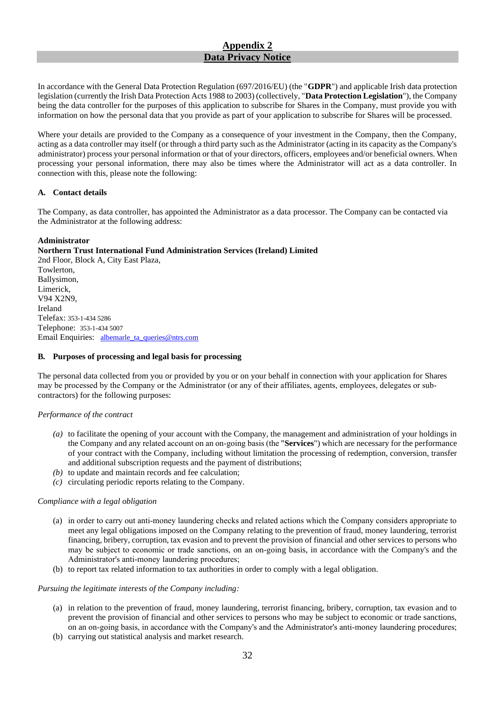# **Appendix 2 Data Privacy Notice**

In accordance with the General Data Protection Regulation (697/2016/EU) (the "**GDPR**") and applicable Irish data protection legislation (currently the Irish Data Protection Acts 1988 to 2003) (collectively, "**Data Protection Legislation**"), the Company being the data controller for the purposes of this application to subscribe for Shares in the Company, must provide you with information on how the personal data that you provide as part of your application to subscribe for Shares will be processed.

Where your details are provided to the Company as a consequence of your investment in the Company, then the Company, acting as a data controller may itself (or through a third party such as the Administrator (acting in its capacity as the Company's administrator) process your personal information or that of your directors, officers, employees and/or beneficial owners. When processing your personal information, there may also be times where the Administrator will act as a data controller. In connection with this, please note the following:

# **A. Contact details**

The Company, as data controller, has appointed the Administrator as a data processor. The Company can be contacted via the Administrator at the following address:

# **Administrator**

**Northern Trust International Fund Administration Services (Ireland) Limited**

2nd Floor, Block A, City East Plaza, Towlerton, Ballysimon, Limerick, V94 X2N9, Ireland Telefax: 353-1-434 5286 Telephone: 353-1-434 5007 Email Enquiries: [albemarle\\_ta\\_queries@ntrs.com](mailto:albemarle_ta_queries@ntrs.com)

# **B. Purposes of processing and legal basis for processing**

The personal data collected from you or provided by you or on your behalf in connection with your application for Shares may be processed by the Company or the Administrator (or any of their affiliates, agents, employees, delegates or subcontractors) for the following purposes:

# *Performance of the contract*

- *(a)* to facilitate the opening of your account with the Company, the management and administration of your holdings in the Company and any related account on an on‐going basis (the "**Services**") which are necessary for the performance of your contract with the Company, including without limitation the processing of redemption, conversion, transfer and additional subscription requests and the payment of distributions;
- *(b)* to update and maintain records and fee calculation;
- *(c)* circulating periodic reports relating to the Company.

# *Compliance with a legal obligation*

- (a) in order to carry out anti‐money laundering checks and related actions which the Company considers appropriate to meet any legal obligations imposed on the Company relating to the prevention of fraud, money laundering, terrorist financing, bribery, corruption, tax evasion and to prevent the provision of financial and other services to persons who may be subject to economic or trade sanctions, on an on‐going basis, in accordance with the Company's and the Administrator's anti‐money laundering procedures;
- (b) to report tax related information to tax authorities in order to comply with a legal obligation.

# *Pursuing the legitimate interests of the Company including:*

- (a) in relation to the prevention of fraud, money laundering, terrorist financing, bribery, corruption, tax evasion and to prevent the provision of financial and other services to persons who may be subject to economic or trade sanctions, on an on-going basis, in accordance with the Company's and the Administrator's anti-money laundering procedures;
- (b) carrying out statistical analysis and market research.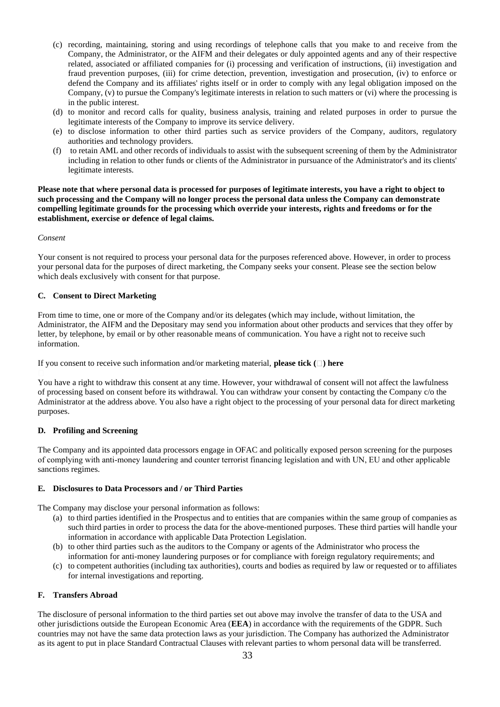- (c) recording, maintaining, storing and using recordings of telephone calls that you make to and receive from the Company, the Administrator, or the AIFM and their delegates or duly appointed agents and any of their respective related, associated or affiliated companies for (i) processing and verification of instructions, (ii) investigation and fraud prevention purposes, (iii) for crime detection, prevention, investigation and prosecution, (iv) to enforce or defend the Company and its affiliates' rights itself or in order to comply with any legal obligation imposed on the Company, (v) to pursue the Company's legitimate interests in relation to such matters or (vi) where the processing is in the public interest.
- (d) to monitor and record calls for quality, business analysis, training and related purposes in order to pursue the legitimate interests of the Company to improve its service delivery.
- (e) to disclose information to other third parties such as service providers of the Company, auditors, regulatory authorities and technology providers.
- (f) to retain AML and other records of individuals to assist with the subsequent screening of them by the Administrator including in relation to other funds or clients of the Administrator in pursuance of the Administrator's and its clients' legitimate interests.

**Please note that where personal data is processed for purposes of legitimate interests, you have a right to object to such processing and the Company will no longer process the personal data unless the Company can demonstrate compelling legitimate grounds for the processing which override your interests, rights and freedoms or for the establishment, exercise or defence of legal claims.**

### *Consent*

Your consent is not required to process your personal data for the purposes referenced above. However, in order to process your personal data for the purposes of direct marketing, the Company seeks your consent. Please see the section below which deals exclusively with consent for that purpose.

### **C. Consent to Direct Marketing**

From time to time, one or more of the Company and/or its delegates (which may include, without limitation, the Administrator, the AIFM and the Depositary may send you information about other products and services that they offer by letter, by telephone, by email or by other reasonable means of communication. You have a right not to receive such information.

If you consent to receive such information and/or marketing material, **please tick ( ) here** 

You have a right to withdraw this consent at any time. However, your withdrawal of consent will not affect the lawfulness of processing based on consent before its withdrawal. You can withdraw your consent by contacting the Company c/o the Administrator at the address above. You also have a right object to the processing of your personal data for direct marketing purposes.

# **D. Profiling and Screening**

The Company and its appointed data processors engage in OFAC and politically exposed person screening for the purposes of complying with anti‐money laundering and counter terrorist financing legislation and with UN, EU and other applicable sanctions regimes.

# **E. Disclosures to Data Processors and / or Third Parties**

The Company may disclose your personal information as follows:

- (a) to third parties identified in the Prospectus and to entities that are companies within the same group of companies as such third parties in order to process the data for the above-mentioned purposes. These third parties will handle your information in accordance with applicable Data Protection Legislation.
- (b) to other third parties such as the auditors to the Company or agents of the Administrator who process the information for anti-money laundering purposes or for compliance with foreign regulatory requirements; and
- (c) to competent authorities (including tax authorities), courts and bodies as required by law or requested or to affiliates for internal investigations and reporting.

# **F. Transfers Abroad**

The disclosure of personal information to the third parties set out above may involve the transfer of data to the USA and other jurisdictions outside the European Economic Area (**EEA**) in accordance with the requirements of the GDPR. Such countries may not have the same data protection laws as your jurisdiction. The Company has authorized the Administrator as its agent to put in place Standard Contractual Clauses with relevant parties to whom personal data will be transferred.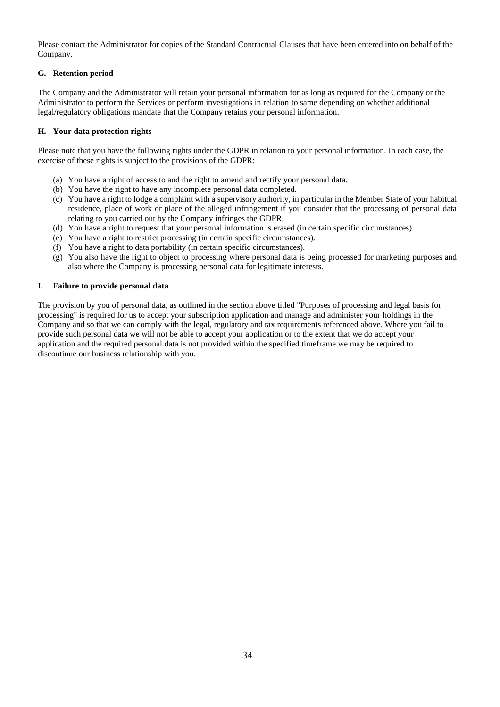Please contact the Administrator for copies of the Standard Contractual Clauses that have been entered into on behalf of the Company.

# **G. Retention period**

The Company and the Administrator will retain your personal information for as long as required for the Company or the Administrator to perform the Services or perform investigations in relation to same depending on whether additional legal/regulatory obligations mandate that the Company retains your personal information.

# **H. Your data protection rights**

Please note that you have the following rights under the GDPR in relation to your personal information. In each case, the exercise of these rights is subject to the provisions of the GDPR:

- (a) You have a right of access to and the right to amend and rectify your personal data.
- (b) You have the right to have any incomplete personal data completed.
- (c) You have a right to lodge a complaint with a supervisory authority, in particular in the Member State of your habitual residence, place of work or place of the alleged infringement if you consider that the processing of personal data relating to you carried out by the Company infringes the GDPR.
- (d) You have a right to request that your personal information is erased (in certain specific circumstances).
- (e) You have a right to restrict processing (in certain specific circumstances).
- (f) You have a right to data portability (in certain specific circumstances).
- (g) You also have the right to object to processing where personal data is being processed for marketing purposes and also where the Company is processing personal data for legitimate interests.

# **I. Failure to provide personal data**

The provision by you of personal data, as outlined in the section above titled "Purposes of processing and legal basis for processing" is required for us to accept your subscription application and manage and administer your holdings in the Company and so that we can comply with the legal, regulatory and tax requirements referenced above. Where you fail to provide such personal data we will not be able to accept your application or to the extent that we do accept your application and the required personal data is not provided within the specified timeframe we may be required to discontinue our business relationship with you.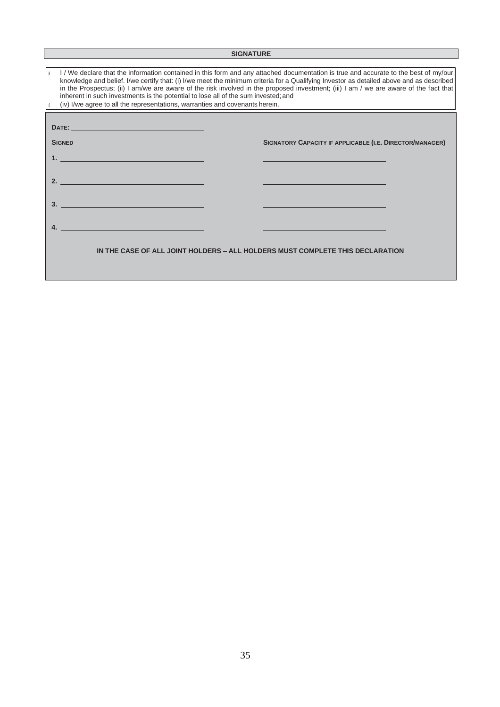# **SIGNATURE**

| I/We declare that the information contained in this form and any attached documentation is true and accurate to the best of my/our<br>knowledge and belief. I/we certify that: (i) I/we meet the minimum criteria for a Qualifying Investor as detailed above and as described<br>in the Prospectus; (ii) I am/we are aware of the risk involved in the proposed investment; (iii) I am / we are aware of the fact that<br>inherent in such investments is the potential to lose all of the sum invested; and<br>(iv) I/we agree to all the representations, warranties and covenants herein. |                                                                               |  |  |
|-----------------------------------------------------------------------------------------------------------------------------------------------------------------------------------------------------------------------------------------------------------------------------------------------------------------------------------------------------------------------------------------------------------------------------------------------------------------------------------------------------------------------------------------------------------------------------------------------|-------------------------------------------------------------------------------|--|--|
| DATE: A PARTICULAR CONTROL DESCRIPTION OF RESIDENCE AND LODGED AT A PARTICULAR CONTROL OF RESIDENCE AND LODGED AT A PARTICULAR CONTROL OF RESIDENCE AND LODGED AT A PARTICULAR CONTROL OF REPORT OF RESIDENCE AND LODGED AT A                                                                                                                                                                                                                                                                                                                                                                 |                                                                               |  |  |
| <b>SIGNED</b>                                                                                                                                                                                                                                                                                                                                                                                                                                                                                                                                                                                 | SIGNATORY CAPACITY IF APPLICABLE (I.E. DIRECTOR/MANAGER)                      |  |  |
|                                                                                                                                                                                                                                                                                                                                                                                                                                                                                                                                                                                               |                                                                               |  |  |
| <u>2.</u>                                                                                                                                                                                                                                                                                                                                                                                                                                                                                                                                                                                     |                                                                               |  |  |
| $\overline{\mathbf{3.}}$                                                                                                                                                                                                                                                                                                                                                                                                                                                                                                                                                                      |                                                                               |  |  |
|                                                                                                                                                                                                                                                                                                                                                                                                                                                                                                                                                                                               |                                                                               |  |  |
|                                                                                                                                                                                                                                                                                                                                                                                                                                                                                                                                                                                               |                                                                               |  |  |
|                                                                                                                                                                                                                                                                                                                                                                                                                                                                                                                                                                                               | IN THE CASE OF ALL JOINT HOLDERS – ALL HOLDERS MUST COMPLETE THIS DECLARATION |  |  |
|                                                                                                                                                                                                                                                                                                                                                                                                                                                                                                                                                                                               |                                                                               |  |  |